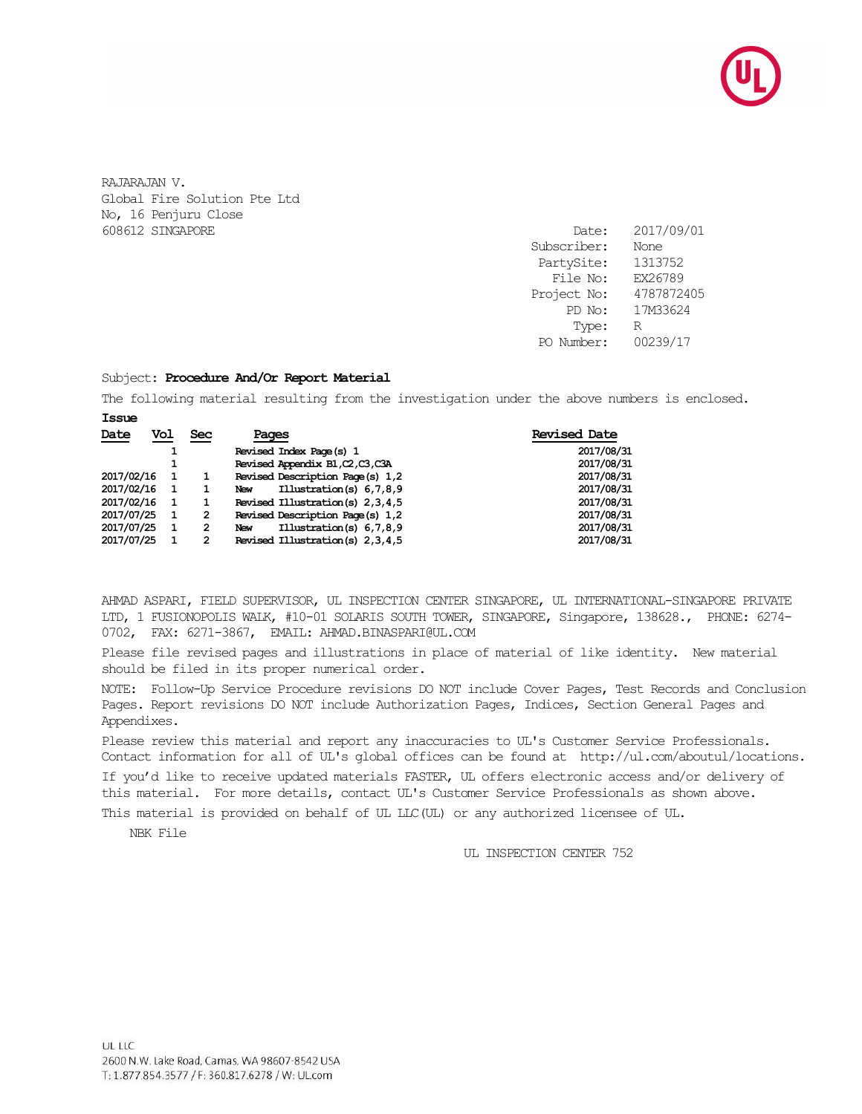

RAJARAJAN V. Global Fire Solution Pte Ltd No, 16 Penjuru Close 608612 SINGAPORE Date: 2017/09/01

Subscriber: None PartySite: 1313752 File No: EX26789 Project No: 4787872405 PD No: 17M33624 Type: R PO Number: 00239/17

#### Subject: **Procedure And/Or Report Material**

The following material resulting from the investigation under the above numbers is enclosed. **Issue**

| Date       | Vol |   | Sec            | Pages                                   | <b>Revised Date</b> |
|------------|-----|---|----------------|-----------------------------------------|---------------------|
|            |     |   |                | Revised Index Page (s) 1                | 2017/08/31          |
|            |     |   |                | Revised Appendix B1, C2, C3, C3A        | 2017/08/31          |
| 2017/02/16 |     |   |                | Revised Description Page (s) 1,2        | 2017/08/31          |
| 2017/02/16 |     | 1 |                | Illustration(s) $6,7,8,9$<br><b>New</b> | 2017/08/31          |
| 2017/02/16 |     |   |                | Revised Illustration(s) 2,3,4,5         | 2017/08/31          |
| 2017/07/25 |     | 1 | $\overline{2}$ | Revised Description Page (s) 1,2        | 2017/08/31          |
| 2017/07/25 |     | 1 | 2              | Illustration(s) 6,7,8,9<br><b>New</b>   | 2017/08/31          |
| 2017/07/25 |     |   | 2              | Revised Illustration(s) 2,3,4,5         | 2017/08/31          |

AHMAD ASPARI, FIELD SUPERVISOR, UL INSPECTION CENTER SINGAPORE, UL INTERNATIONAL-SINGAPORE PRIVATE LTD, 1 FUSIONOPOLIS WALK, #10-01 SOLARIS SOUTH TOWER, SINGAPORE, Singapore, 138628., PHONE: 6274- 0702, FAX: 6271-3867, EMAIL: AHMAD.BINASPARI@UL.COM

Please file revised pages and illustrations in place of material of like identity. New material should be filed in its proper numerical order.

NOTE: Follow-Up Service Procedure revisions DO NOT include Cover Pages, Test Records and Conclusion Pages. Report revisions DO NOT include Authorization Pages, Indices, Section General Pages and Appendixes.

Please review this material and report any inaccuracies to UL's Customer Service Professionals. Contact information for all of UL's global offices can be found at http://ul.com/aboutul/locations.

If you'd like to receive updated materials FASTER, UL offers electronic access and/or delivery of this material. For more details, contact UL's Customer Service Professionals as shown above.

This material is provided on behalf of UL LLC(UL) or any authorized licensee of UL.

NBK File

UL INSPECTION CENTER 752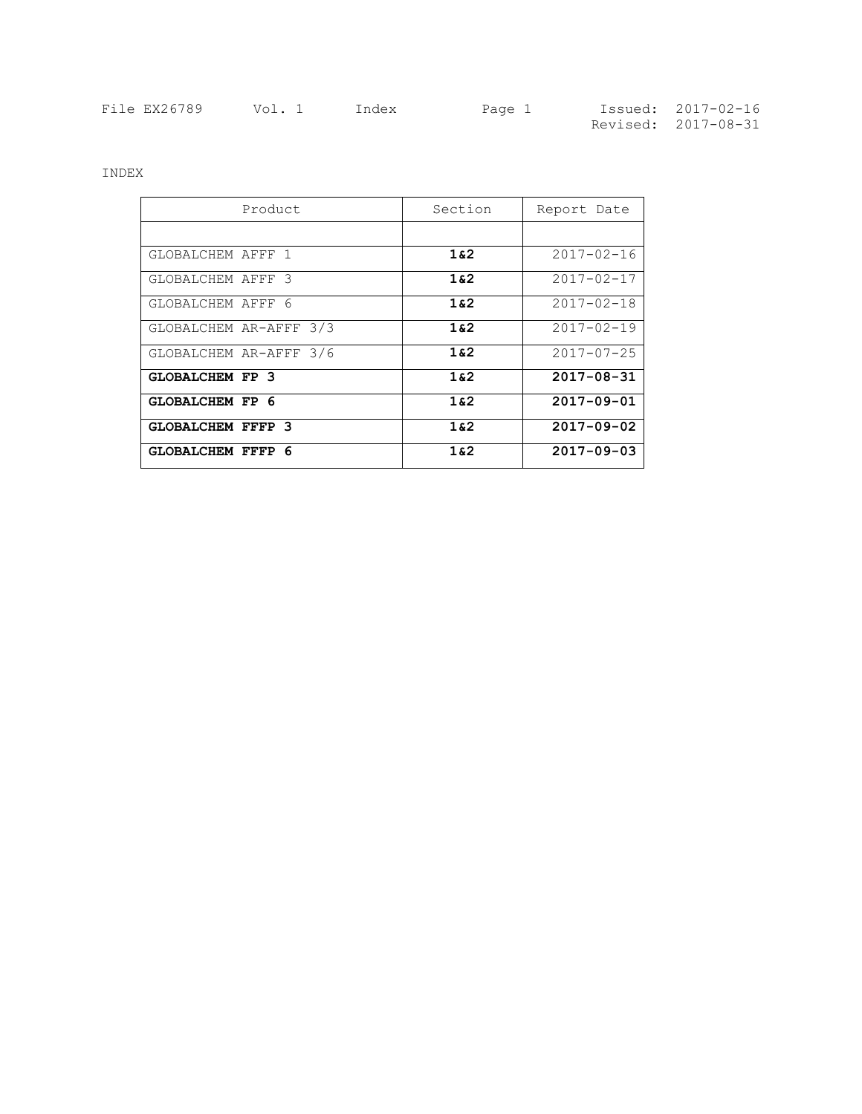| File EX26789 | Vol. 1 | Index | Page 1 | Issued: 2017-02-16  |
|--------------|--------|-------|--------|---------------------|
|              |        |       |        | Revised: 2017-08-31 |

INDEX

| Product                  | Section | Report Date      |
|--------------------------|---------|------------------|
|                          |         |                  |
| GLOBALCHEM AFFF 1        | 162     | $2017 - 02 - 16$ |
| GLOBALCHEM AFFF 3        | 162     | $2017 - 02 - 17$ |
| GLOBALCHEM AFFF 6        | 162     | $2017 - 02 - 18$ |
| GLOBALCHEM AR-AFFF 3/3   | 162     | $2017 - 02 - 19$ |
| GLOBALCHEM AR-AFFF 3/6   | 162     | $2017 - 07 - 25$ |
| <b>GLOBALCHEM FP 3</b>   | 162     | $2017 - 08 - 31$ |
| GLOBALCHEM FP 6          | 162     | $2017 - 09 - 01$ |
| <b>GLOBALCHEM FFFP 3</b> | 162     | $2017 - 09 - 02$ |
| <b>GLOBALCHEM FFFP 6</b> | 162     | $2017 - 09 - 03$ |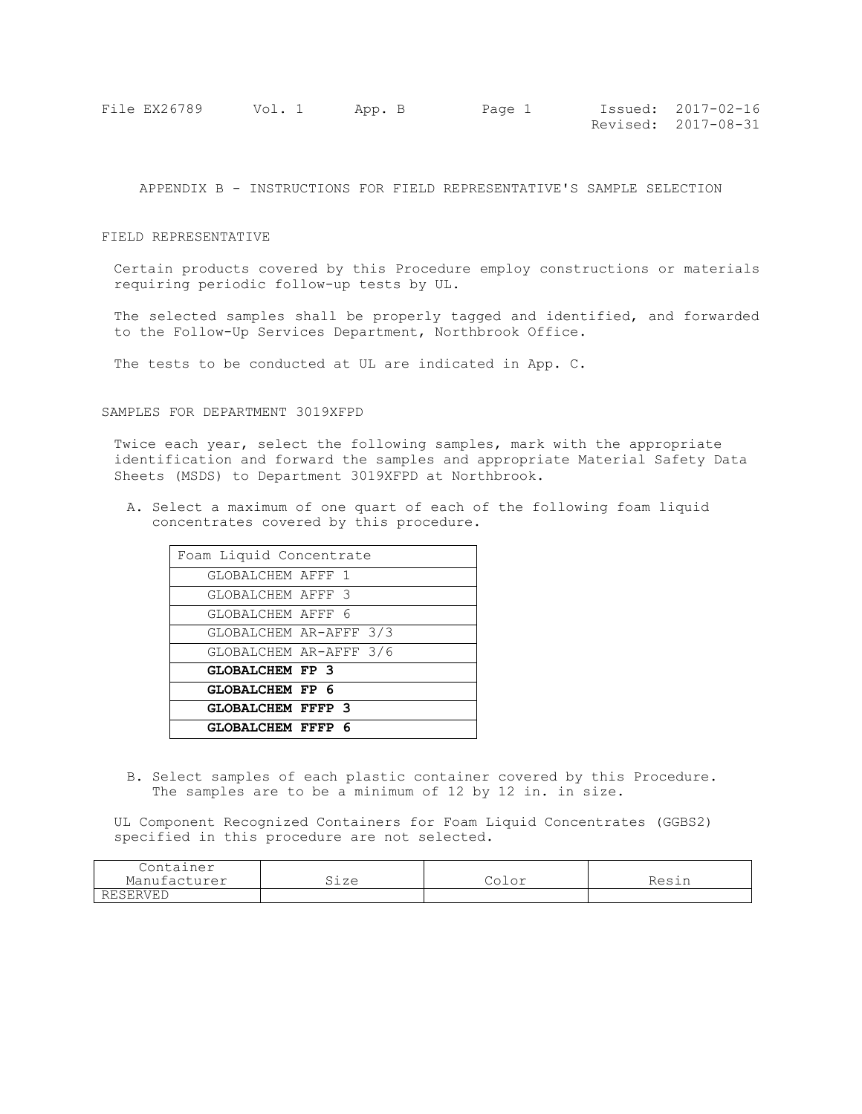| File EX26789 | Vol. 1 | App. B | Page 1 | Issued: 2017-02-16  |
|--------------|--------|--------|--------|---------------------|
|              |        |        |        | Revised: 2017-08-31 |

APPENDIX B - INSTRUCTIONS FOR FIELD REPRESENTATIVE'S SAMPLE SELECTION

## FIELD REPRESENTATIVE

Certain products covered by this Procedure employ constructions or materials requiring periodic follow-up tests by UL.

The selected samples shall be properly tagged and identified, and forwarded to the Follow-Up Services Department, Northbrook Office.

The tests to be conducted at UL are indicated in App. C.

## SAMPLES FOR DEPARTMENT 3019XFPD

Twice each year, select the following samples, mark with the appropriate identification and forward the samples and appropriate Material Safety Data Sheets (MSDS) to Department 3019XFPD at Northbrook.

A. Select a maximum of one quart of each of the following foam liquid concentrates covered by this procedure.

| Foam Liquid Concentrate  |  |  |  |  |
|--------------------------|--|--|--|--|
| GLOBALCHEM AFFF 1        |  |  |  |  |
| GLOBALCHEM AFFF 3        |  |  |  |  |
| GLOBALCHEM AFFF 6        |  |  |  |  |
| GLOBALCHEM AR-AFFF 3/3   |  |  |  |  |
| GLOBALCHEM AR-AFFF 3/6   |  |  |  |  |
| <b>GLOBALCHEM FP 3</b>   |  |  |  |  |
| GLOBALCHEM FP 6          |  |  |  |  |
| <b>GLOBALCHEM FFFP 3</b> |  |  |  |  |
| <b>GLOBALCHEM FFFP 6</b> |  |  |  |  |

B. Select samples of each plastic container covered by this Procedure. The samples are to be a minimum of 12 by 12 in. in size.

UL Component Recognized Containers for Foam Liquid Concentrates (GGBS2) specified in this procedure are not selected.

| Container                           | Sıze | $\sim$ $\sim$ | ---- |
|-------------------------------------|------|---------------|------|
| Manufacturer                        |      | ◡◡⊥◡⊥         |      |
| Rн<br>' \ / H' l<br>1 1 1 1 1 1 1 1 |      |               |      |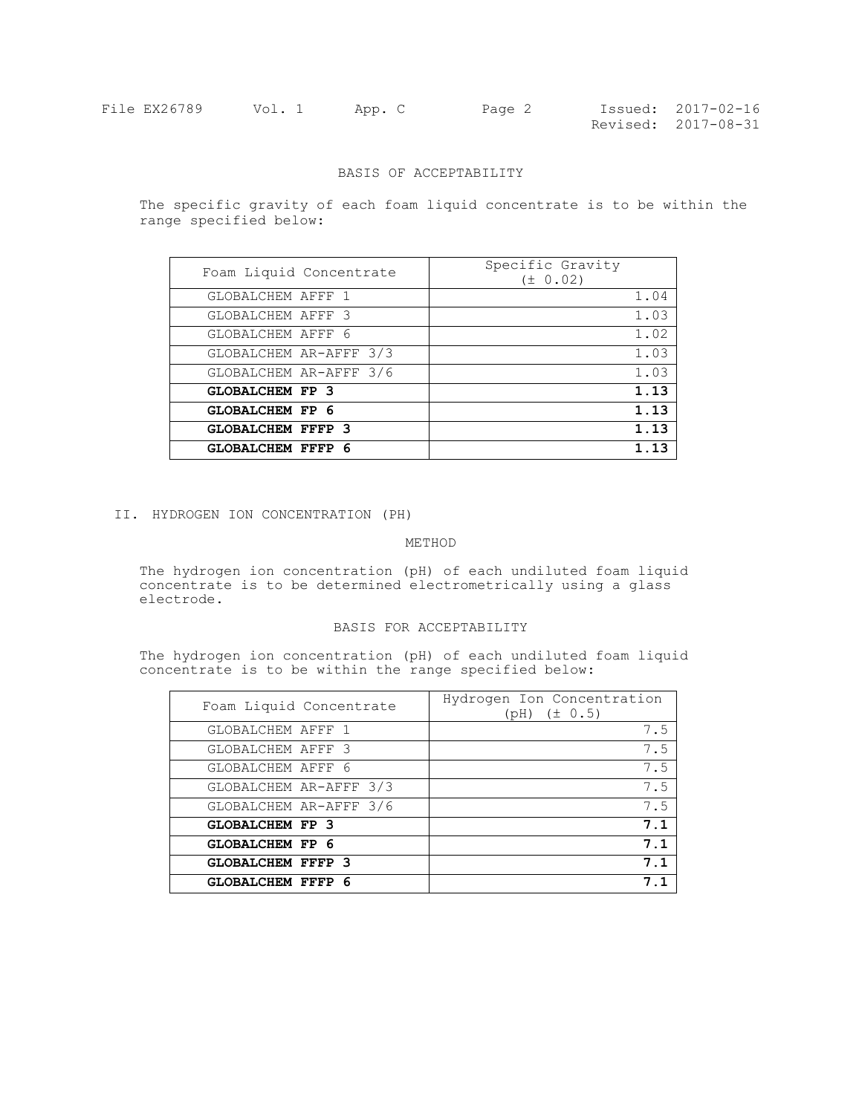| File EX26789 | Vol. 1 | App. C | Page 2 | Issued: 2017-02-16  |
|--------------|--------|--------|--------|---------------------|
|              |        |        |        | Revised: 2017-08-31 |

# BASIS OF ACCEPTABILITY

The specific gravity of each foam liquid concentrate is to be within the range specified below:

| Foam Liquid Concentrate  | Specific Gravity<br>$(\pm 0.02)$ |
|--------------------------|----------------------------------|
| GLOBALCHEM AFFF 1        | 1.04                             |
| GLOBALCHEM AFFF 3        | 1.03                             |
| GLOBALCHEM AFFF 6        | 1.02                             |
| GLOBALCHEM AR-AFFF 3/3   | 1.03                             |
| GLOBALCHEM AR-AFFF 3/6   | 1.03                             |
| <b>GLOBALCHEM FP 3</b>   | 1.13                             |
| <b>GLOBALCHEM FP 6</b>   | 1.13                             |
| <b>GLOBALCHEM FFFP 3</b> | 1.13                             |
| <b>GLOBALCHEM FFFP 6</b> | 1.13                             |

II. HYDROGEN ION CONCENTRATION (PH)

# METHOD

The hydrogen ion concentration (pH) of each undiluted foam liquid concentrate is to be determined electrometrically using a glass electrode.

## BASIS FOR ACCEPTABILITY

The hydrogen ion concentration (pH) of each undiluted foam liquid concentrate is to be within the range specified below:

| Foam Liquid Concentrate  | Hydrogen Ion Concentration<br>$(pH)$ $(\pm 0.5)$ |
|--------------------------|--------------------------------------------------|
| GLOBALCHEM AFFF 1        | 7.5                                              |
| GLOBALCHEM AFFF 3        | 7.5                                              |
| GLOBALCHEM AFFF 6        | 7.5                                              |
| GLOBALCHEM AR-AFFF 3/3   | 7.5                                              |
| GLOBALCHEM AR-AFFF 3/6   | 7.5                                              |
| <b>GLOBALCHEM FP 3</b>   | 7.1                                              |
| <b>GLOBALCHEM FP 6</b>   | 7.1                                              |
| <b>GLOBALCHEM FFFP 3</b> | 7.1                                              |
| <b>GLOBALCHEM FFFP 6</b> |                                                  |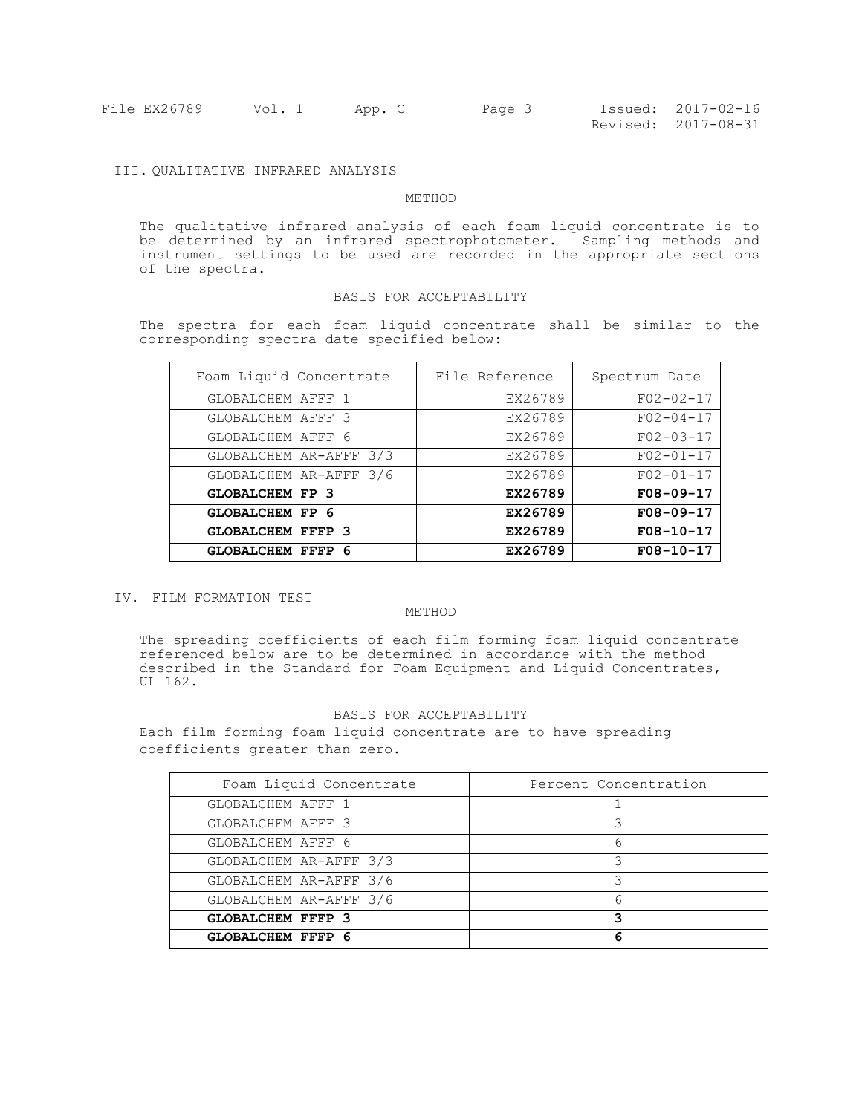| File EX26789 | Vol. 1 | App. C | Page 3 | Issued: 2017-02-16  |
|--------------|--------|--------|--------|---------------------|
|              |        |        |        | Revised: 2017-08-31 |

# III. QUALITATIVE INFRARED ANALYSIS

#### METHOD

The qualitative infrared analysis of each foam liquid concentrate is to be determined by an infrared spectrophotometer. Sampling methods and instrument settings to be used are recorded in the appropriate sections of the spectra.

#### BASIS FOR ACCEPTABILITY

The spectra for each foam liquid concentrate shall be similar to the corresponding spectra date specified below:

| Foam Liquid Concentrate  | File Reference | Spectrum Date   |
|--------------------------|----------------|-----------------|
| GLOBALCHEM AFFF<br>-1    | EX26789        | $F02 - 02 - 17$ |
| GLOBALCHEM AFFF 3        | EX26789        | $F02 - 04 - 17$ |
| GLOBALCHEM AFFF 6        | EX26789        | $F02 - 03 - 17$ |
| GLOBALCHEM AR-AFFF 3/3   | EX26789        | $F02 - 01 - 17$ |
| GLOBALCHEM AR-AFFF 3/6   | EX26789        | $F02 - 01 - 17$ |
| <b>GLOBALCHEM FP 3</b>   | EX26789        | $F08-09-17$     |
| <b>GLOBALCHEM FP 6</b>   | EX26789        | $F08-09-17$     |
| <b>GLOBALCHEM FFFP 3</b> | EX26789        | $F08 - 10 - 17$ |
| <b>GLOBALCHEM FFFP 6</b> | EX26789        | $F08 - 10 - 17$ |

IV. FILM FORMATION TEST

# METHOD

The spreading coefficients of each film forming foam liquid concentrate referenced below are to be determined in accordance with the method described in the Standard for Foam Equipment and Liquid Concentrates, UL 162.

## BASIS FOR ACCEPTABILITY

Each film forming foam liquid concentrate are to have spreading coefficients greater than zero.

| Foam Liquid Concentrate  | Percent Concentration |
|--------------------------|-----------------------|
| GLOBALCHEM AFFF 1        |                       |
| GLOBALCHEM AFFF 3        |                       |
| GLOBALCHEM AFFF 6        | h                     |
| GLOBALCHEM AR-AFFF 3/3   |                       |
| GLOBALCHEM AR-AFFF 3/6   |                       |
| GLOBALCHEM AR-AFFF 3/6   |                       |
| <b>GLOBALCHEM FFFP 3</b> |                       |
| <b>GLOBALCHEM FFFP 6</b> | ฅ                     |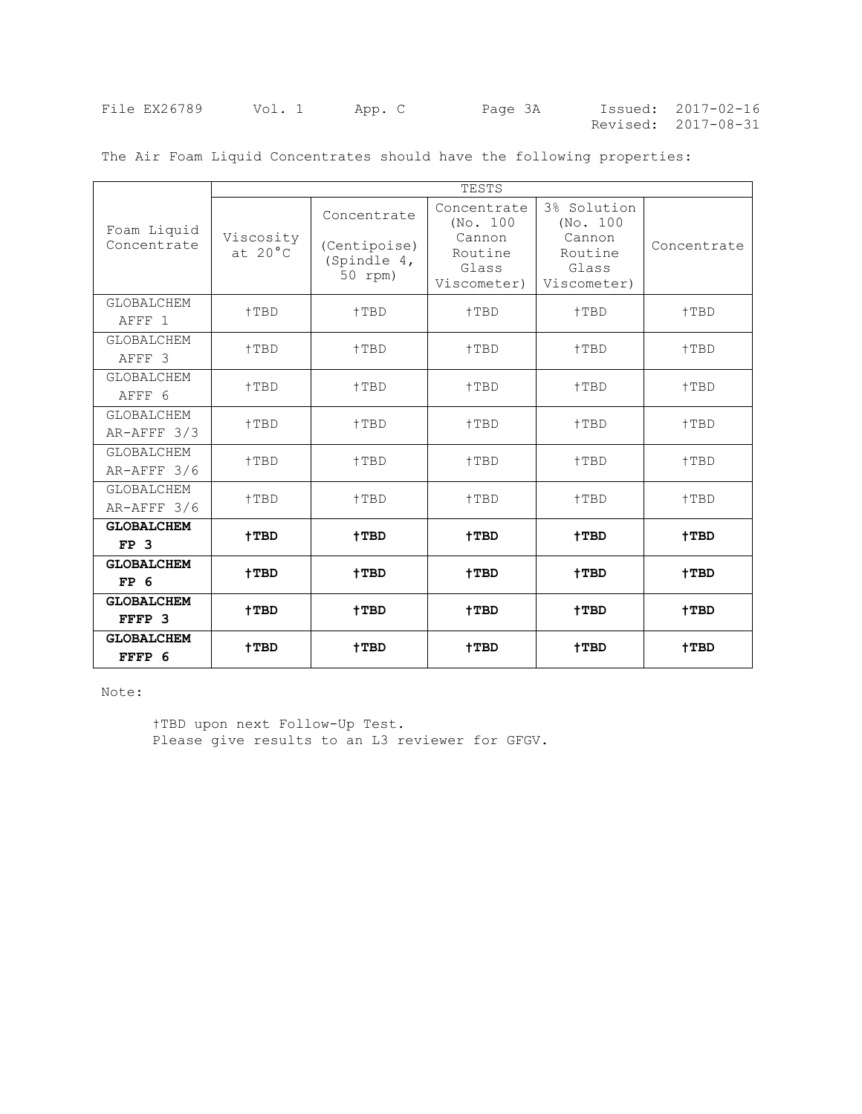| File EX26789 | Vol. 1 | App. C | Page 3A | Issued: 2017-02-16  |
|--------------|--------|--------|---------|---------------------|
|              |        |        |         | Revised: 2017-08-31 |

|                                        | TESTS                          |                                                       |                                                                      |                                                                      |             |
|----------------------------------------|--------------------------------|-------------------------------------------------------|----------------------------------------------------------------------|----------------------------------------------------------------------|-------------|
| Foam Liquid<br>Concentrate             | Viscosity<br>at $20^{\circ}$ C | Concentrate<br>(Centipoise)<br>(Spindle 4,<br>50 rpm) | Concentrate<br>(No. 100<br>Cannon<br>Routine<br>Glass<br>Viscometer) | 3% Solution<br>(No. 100<br>Cannon<br>Routine<br>Glass<br>Viscometer) | Concentrate |
| <b>GLOBALCHEM</b><br>AFFF <sub>1</sub> | †TBD                           | $+TBD$                                                | $+TBD$                                                               | †TBD                                                                 | †TBD        |
| <b>GLOBALCHEM</b><br>AFFF 3            | $+TBD$                         | +TBD                                                  | +TBD                                                                 | +TBD                                                                 | +TBD        |
| GLOBALCHEM<br>AFFF 6                   | $+TBD$                         | $+TBD$                                                | +TBD                                                                 | $+TBD$                                                               | +TBD        |
| <b>GLOBALCHEM</b><br>AR-AFFF 3/3       | +TBD                           | +TBD                                                  | +TBD                                                                 | +TBD                                                                 | +TBD        |
| <b>GLOBALCHEM</b><br>AR-AFFF 3/6       | $+TBD$<br>†TBD                 |                                                       | $+TBD$                                                               | +TBD                                                                 | +TBD        |
| <b>GLOBALCHEM</b><br>AR-AFFF 3/6       | $+TBD$                         | +TBD                                                  | +TBD                                                                 | +TBD                                                                 | +TBD        |
| <b>GLOBALCHEM</b><br>FP <sub>3</sub>   | $+TBD$                         | $+TBD$                                                | +TBD                                                                 | +TBD                                                                 | +TBD        |
| <b>GLOBALCHEM</b><br>FP <sub>6</sub>   | $+TBD$                         | $+TBD$                                                | $+TBD$                                                               | +TBD                                                                 | +TBD        |
| <b>GLOBALCHEM</b><br>FFFP 3            | †TBD                           | $+TBD$                                                | $+TBD$                                                               | +TBD                                                                 | $+TBD$      |
| <b>GLOBALCHEM</b><br>FFFP 6            | †TBD                           | +TBD                                                  | †TBD                                                                 | +TBD                                                                 | +TBD        |

The Air Foam Liquid Concentrates should have the following properties:

Note:

†TBD upon next Follow-Up Test. Please give results to an L3 reviewer for GFGV.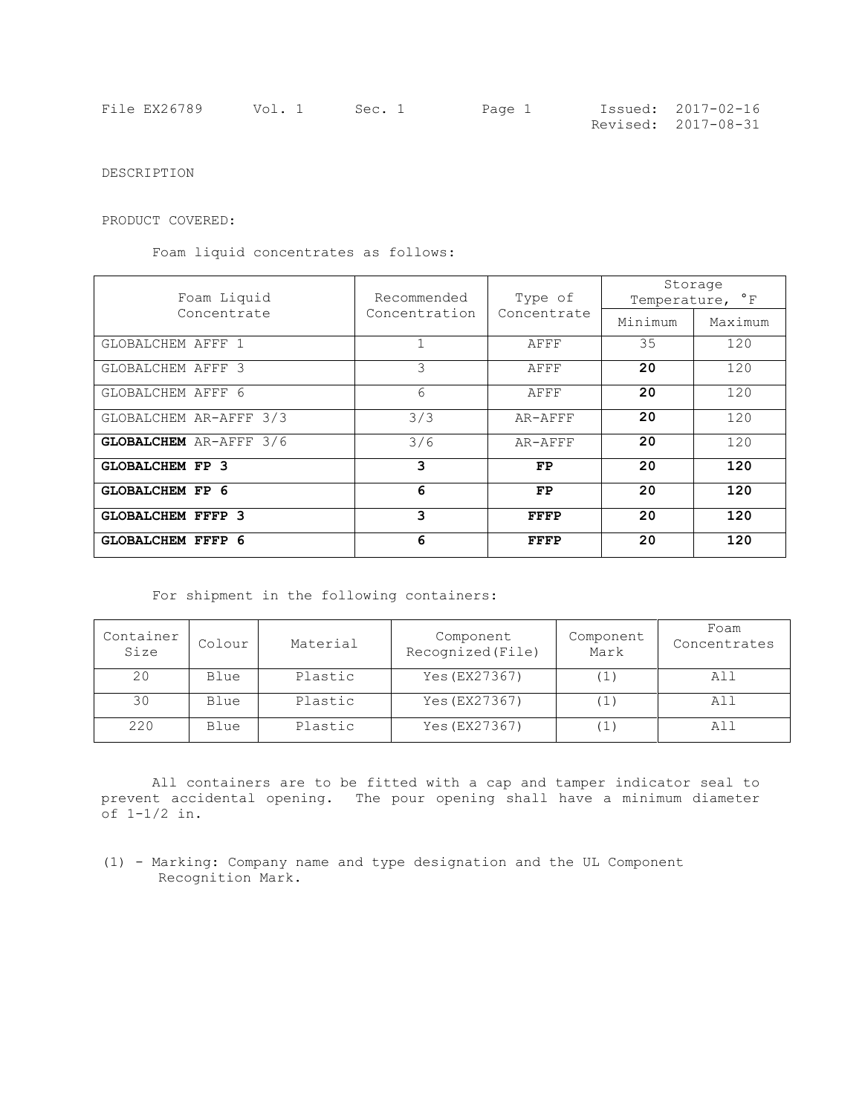| File EX26789 | Vol. 1 Sec. 1 | Page 1 | Issued: 2017-02-16  |
|--------------|---------------|--------|---------------------|
|              |               |        | Revised: 2017-08-31 |

DESCRIPTION

PRODUCT COVERED:

Foam liquid concentrates as follows:

| Foam Liquid                   | Recommended   | Type of     | Storage<br>Temperature, <sup>°</sup> F |         |  |
|-------------------------------|---------------|-------------|----------------------------------------|---------|--|
| Concentrate                   | Concentration | Concentrate | Minimum                                | Maximum |  |
| GLOBALCHEM AFFF 1             |               | AFFF        | 35                                     | 120     |  |
| GLOBALCHEM AFFF 3             | 3             | AFFF        | 20                                     | 120     |  |
| GLOBALCHEM AFFF 6             | 6             | AFFF        | 20                                     | 120     |  |
| GLOBALCHEM AR-AFFF 3/3        | 3/3           | AR-AFFF     | 20                                     | 120     |  |
| <b>GLOBALCHEM</b> AR-AFFF 3/6 | 3/6           | AR-AFFF     | 20                                     | 120     |  |
| <b>GLOBALCHEM FP 3</b>        | 3             | FP          | 20                                     | 120     |  |
| <b>GLOBALCHEM FP 6</b>        | 6             | FP          | 20                                     | 120     |  |
| <b>GLOBALCHEM FFFP 3</b>      | 3             | FFFP        | 20                                     | 120     |  |
| <b>GLOBALCHEM FFFP 6</b>      | 6             | FFFP        | 20                                     | 120     |  |

For shipment in the following containers:

| Container<br>Size | Colour | Material | Component<br>Recognized (File) | Component<br>Mark | Foam<br>Concentrates |
|-------------------|--------|----------|--------------------------------|-------------------|----------------------|
| 20                | Blue   | Plastic  | Yes (EX27367)                  |                   | All                  |
| 30                | Blue   | Plastic  | Yes (EX27367)                  |                   | All                  |
| 220               | Blue   | Plastic  | Yes (EX27367)                  |                   | All                  |

All containers are to be fitted with a cap and tamper indicator seal to prevent accidental opening. The pour opening shall have a minimum diameter of 1-1/2 in.

(1) - Marking: Company name and type designation and the UL Component Recognition Mark.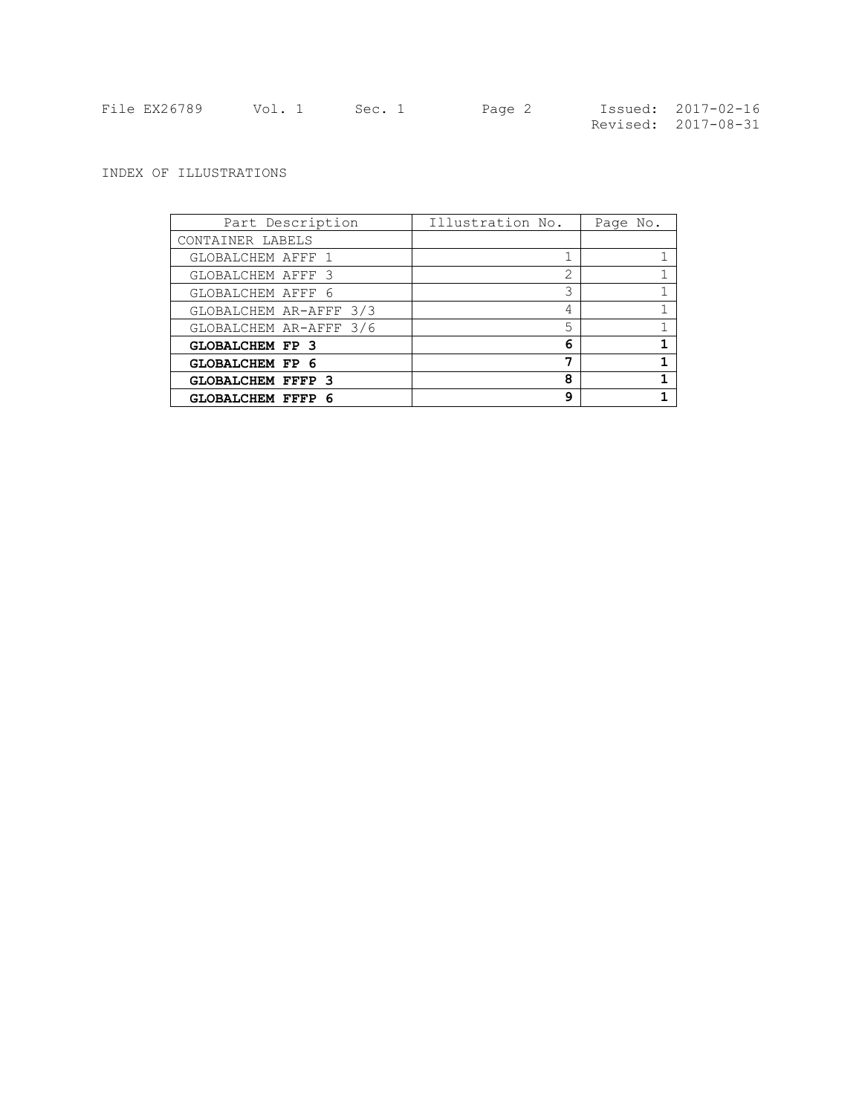| File EX26789 | Vol. 1 | Sec. 1 | Page 2 | Issued: 2017-02-16  |
|--------------|--------|--------|--------|---------------------|
|              |        |        |        | Revised: 2017-08-31 |

# INDEX OF ILLUSTRATIONS

| Part Description         | Illustration No. | Page No. |
|--------------------------|------------------|----------|
| CONTAINER LABELS         |                  |          |
| GLOBALCHEM AFFF 1        |                  |          |
| GLOBALCHEM AFFF 3        | 2                |          |
| GLOBALCHEM AFFF 6        | 3                |          |
| GLOBALCHEM AR-AFFF 3/3   | 4                |          |
| GLOBALCHEM AR-AFFF 3/6   | 5                |          |
| <b>GLOBALCHEM FP 3</b>   | 6                |          |
| <b>GLOBALCHEM FP 6</b>   | 7                |          |
| <b>GLOBALCHEM FFFP 3</b> | 8                |          |
| <b>GLOBALCHEM FFFP 6</b> | q                |          |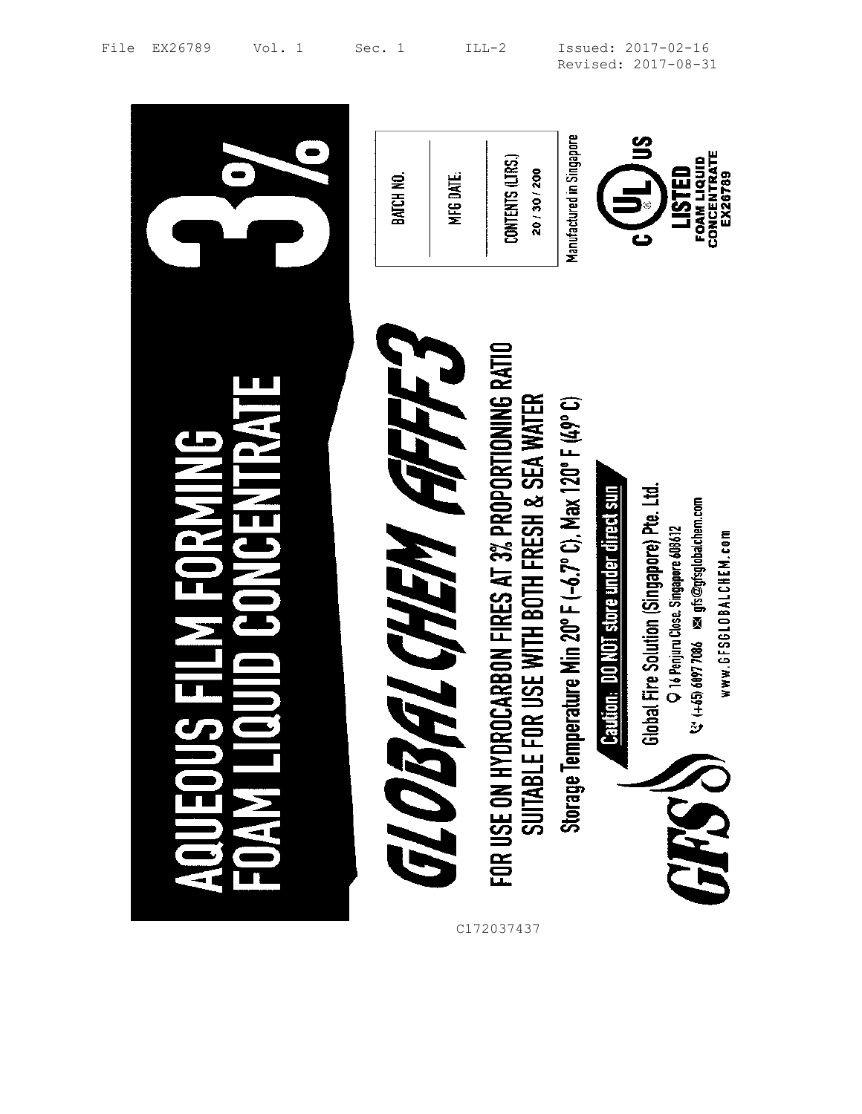|                                          | MFG DATE.<br>BATCH NO.     | Manufactured in Singapore<br>CONTENTS (LTRS.)<br>20 / 30 / 200                                                                                                                  | CONCENTRATE<br>FOAM LIQUID<br><b>USTED</b><br>EX26789                                                                                                                                                                                       |
|------------------------------------------|----------------------------|---------------------------------------------------------------------------------------------------------------------------------------------------------------------------------|---------------------------------------------------------------------------------------------------------------------------------------------------------------------------------------------------------------------------------------------|
| <b>UNUENIRAI</b><br><b>NIRANICE RANI</b> | <b>FACHEM AFFF</b><br>T OF | FOR USE ON HYDROCARBON FIRES AT 3% PROPORTIONING RATIO<br>SUITABLE FOR USE WITH BOTH FRESH & SEA WATER<br>Storage Temperature Min 20°F (-6.7°C), Max 120°F (49°C)<br>C172037437 | Caution: DO NOT store under direct sun<br>Global Fire Solution (Singapore) Pte. Ltd.<br>$\mathcal{C}'$ (+65) 6097 7086 $\,$ Mz gfs $\circledcirc$ gfsglobalchem.com<br>O 16 Penjuru Close. Singapore 608612<br>www.GFSGLOBALCHEM.com<br>644 |

File EX26789 Vol. 1 Sec. 1 ILL-2 Issued: 2017-02-16 Revised: 2017-08-31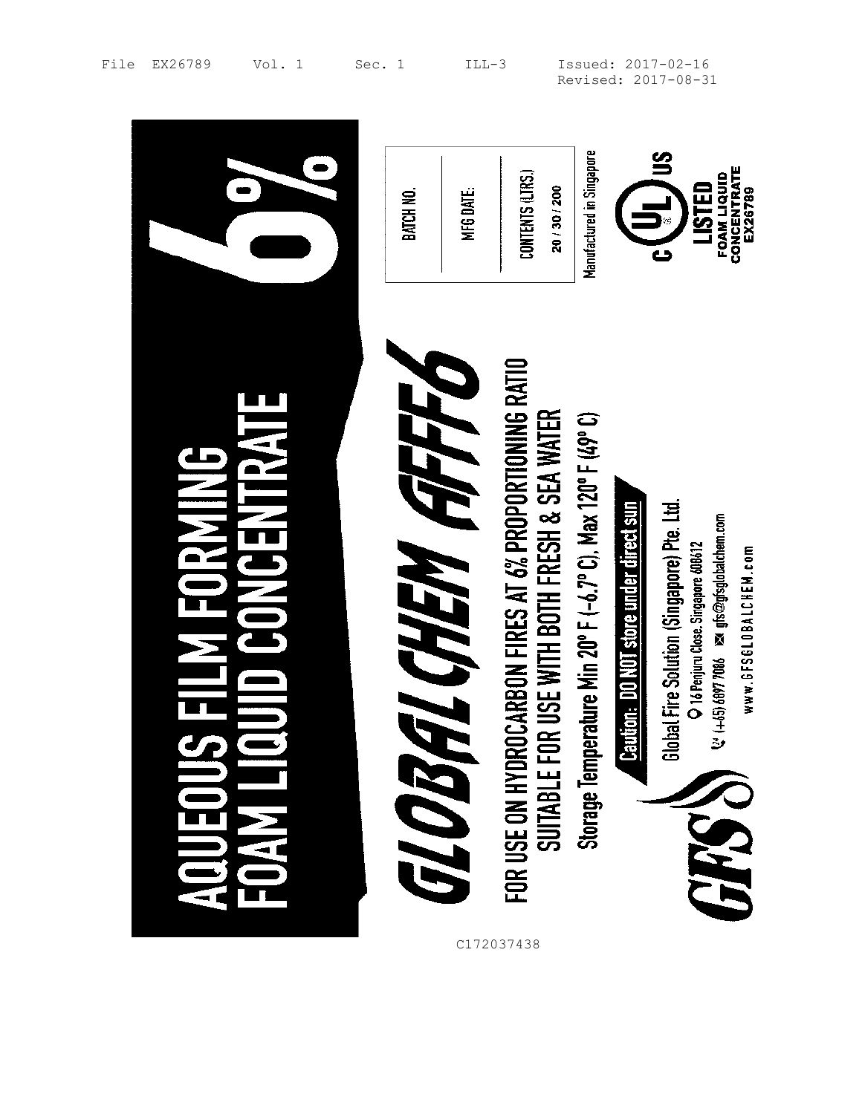|                                                 | MFG DATE.<br>BATCH NO.             | Manufactured in Singapore<br><b>Snf</b><br>CONTENTS (LTRS.)<br>LISTED<br>20 / 30 / 200<br>نے<br>©                                                                                                                                                                                                 | CONCENTRATE<br><b>FOAM LIQUID</b><br>EX26789 |
|-------------------------------------------------|------------------------------------|---------------------------------------------------------------------------------------------------------------------------------------------------------------------------------------------------------------------------------------------------------------------------------------------------|----------------------------------------------|
| Ž<br><b>NANICEN</b><br>THE SI<br>$\overline{1}$ | ALCHEM AFFED<br>6103<br>C172037438 | FOR USE ON HYDROCARBON FIRES AT 6% PROPORTIONING RATIO<br>Suitable for use with Both Fresh & Sea Water<br>Storage Temperature Min 20°F (-6.7°C), Max 120°F (49°C)<br>Caution: DO NOT store under direct sun<br>Global Fire Solution (Singapore) Pre. Ltd.<br>O 16 Penjuru Close. Singapore 608612 | www.6FS6L0BALCHEM.com<br>BHD                 |

 $\blacksquare$ 

File EX26789 Vol. 1 Sec. 1 ILL-3 Issued: 2017-02-16 Revised: 2017-08-31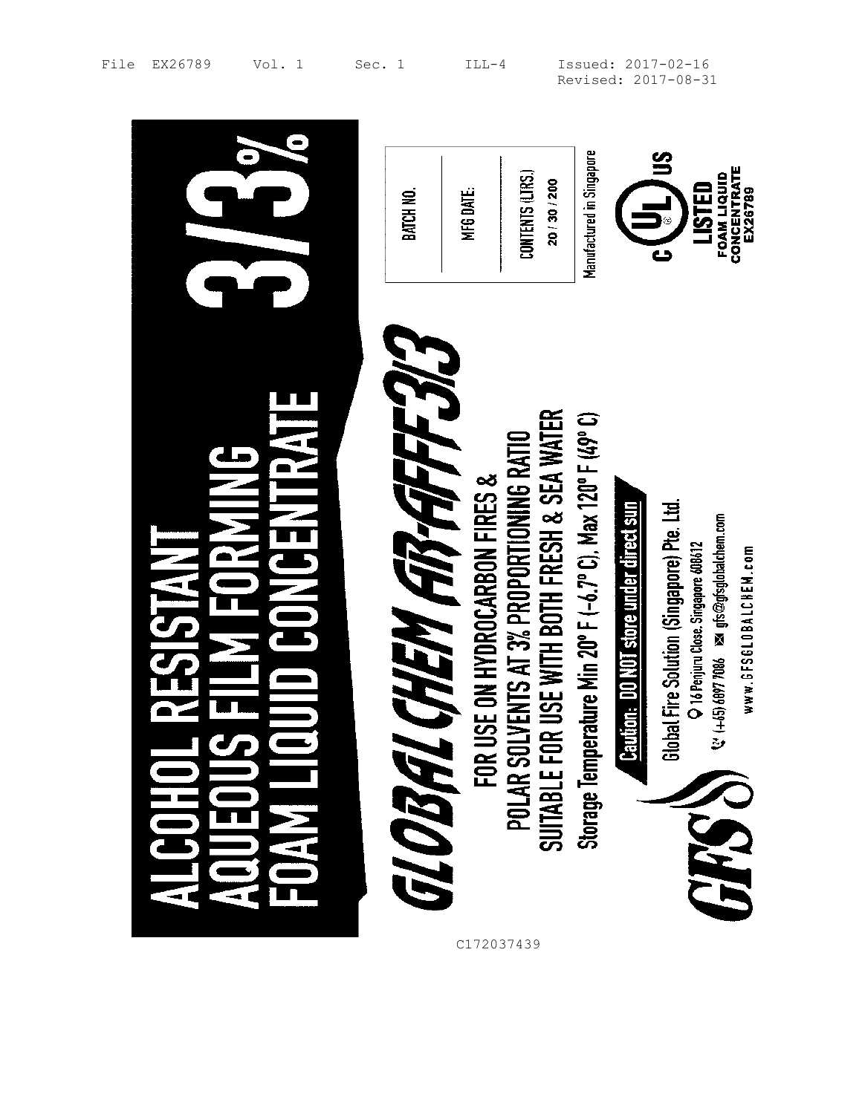|   | MFG DATE.<br>BATCH NO.                                        | Manufactured in Singapore<br>CONTENTS (LTRS.)<br>20/30/200                                                                                                                                               | CONCENTRATE<br>FOAM LIQUID<br>LISTED<br>EX26789                                                                                                                                                                                             |
|---|---------------------------------------------------------------|----------------------------------------------------------------------------------------------------------------------------------------------------------------------------------------------------------|---------------------------------------------------------------------------------------------------------------------------------------------------------------------------------------------------------------------------------------------|
| Ě | CHEM AB-AFFEJ<br>SE ON HYDROCARBON FIRES &<br>FOR U<br>GLOBAL | R USE WITH BOTH FRESH & SEA WATER<br>Storage Temperature Min 20° F (-6.7° C), Max 120° F (49° C)<br>POLAR SOLVENTS AT 3% PROPORTIONING RATIO<br>SUITABLE FOR USE WITH BOTH FRESH & SEA WAT<br>C172037439 | Global Fire Solution (Singapore) Pte. Ltd.<br>tion: DO NOT store under direct sun<br>(+65) 6097 7086 ≥sd gfs@gfsglobalchem.com<br>O 16 Penjuru Close. Singapore 608612<br>www.6FS6L0BALCHEM.com<br>$\ddot{\mathbf{v}}$<br><u>ler</u><br>649 |

File EX26789 Vol. 1 Sec. 1 ILL-4 Issued: 2017-02-16 Revised: 2017-08-31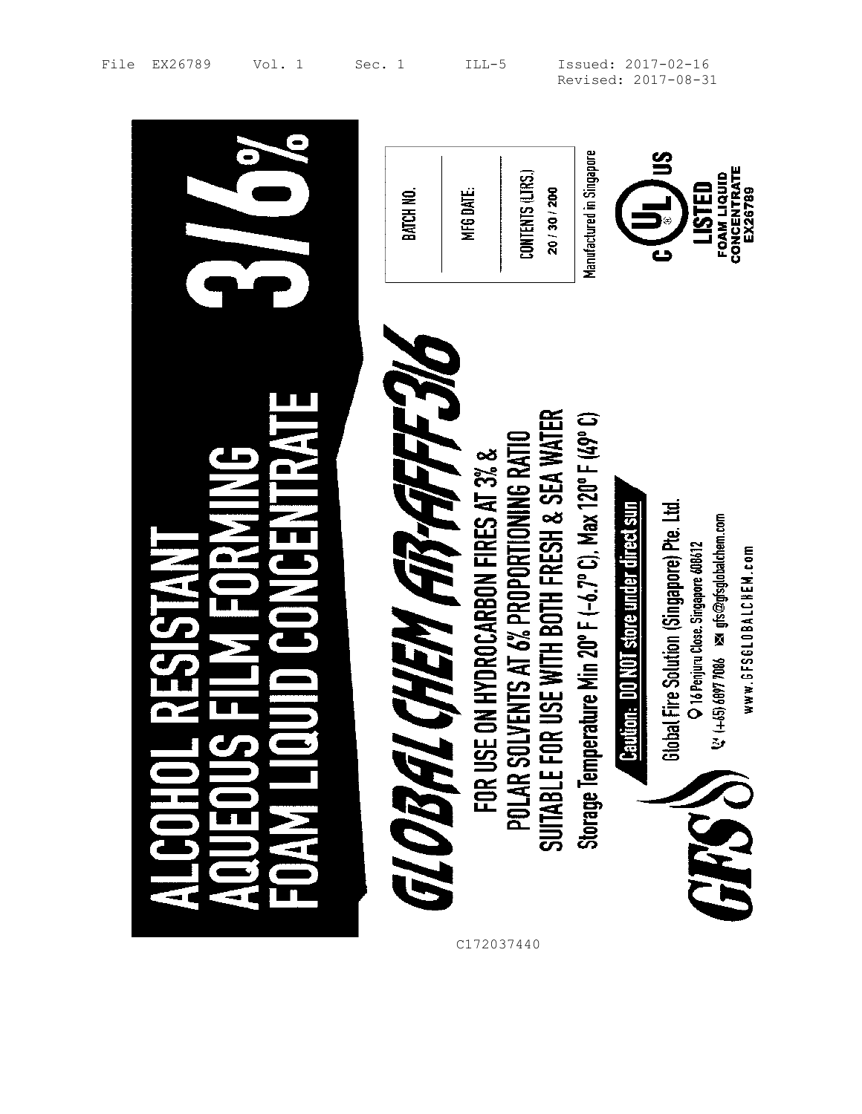|                                                               | BATCH NO.                   | MFG DATE.                            | CONTENTS (LTRS.)<br>20 / 30 / 200                                                        | Manufactured in Singapore                                   |                                               | CONCENTRATE<br>FOAM LIQUID<br>LISTED<br>EX26789                                                                                                                        |
|---------------------------------------------------------------|-----------------------------|--------------------------------------|------------------------------------------------------------------------------------------|-------------------------------------------------------------|-----------------------------------------------|------------------------------------------------------------------------------------------------------------------------------------------------------------------------|
| <b>EXTINENTIE</b><br>$\frac{1}{2}$<br><b>NAN</b><br><b>SH</b> | <b>GLOBAL CHEM ARAFFEJL</b> | FOR USE ON HYDROCARBON FIRES AT 3% & | SUITABLE FOR USE WITH BOTH FRESH & SEA WATER<br>POLAR SOLVENTS AT 6% PROPORTIONING RATIO | Storage Temperature Min 20° F (-6.7° C), Max 120° F (49° C) | <b>Caution: DO NOT store under direct sun</b> | Global Fire Solution (Singapore) Pte. Ltd.<br>$Q'$ (+65) 6097 7086 $\approx$ gfs@gfsglobalchem.com<br>Penjuru Close. Singapore 608612<br>www.GFSGLOBALCHEM.com<br>GRSS |

 $\overline{a}$ 

File EX26789 Vol. 1 Sec. 1 ILL-5 Issued: 2017-02-16 Revised: 2017-08-31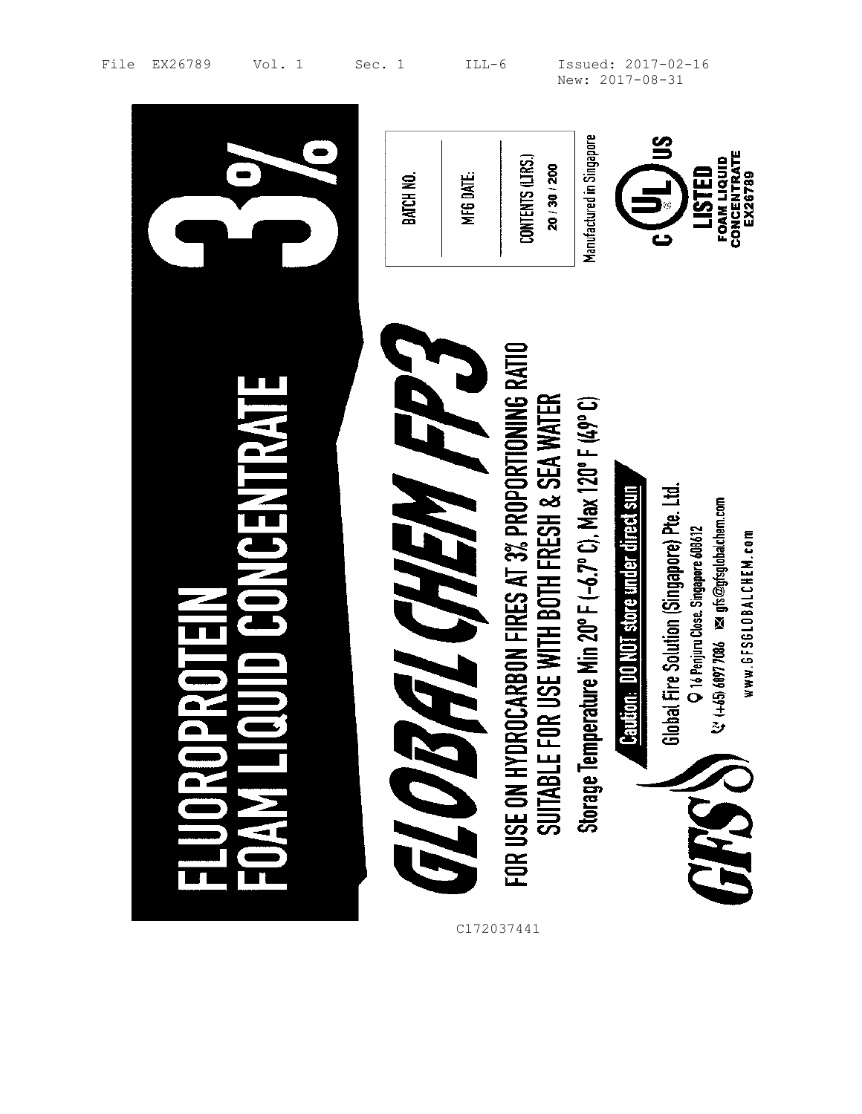|                   | BATCH NO.   | MFG DATE.                 | CONTENTS (LTRS.)<br>20 / 30 / 200                                                                      | Manufactured in Singapore                                       |                                        | CONCENTRATE<br><b>FOAM LIQUID</b><br>LISTED<br>EX26789                                                                                                                           |
|-------------------|-------------|---------------------------|--------------------------------------------------------------------------------------------------------|-----------------------------------------------------------------|----------------------------------------|----------------------------------------------------------------------------------------------------------------------------------------------------------------------------------|
| <b>ONCENTRATE</b> | <b>7/07</b> | E CHEM FP 3<br>C172037441 | FOR USE ON HYDROCARBON FIRES AT 3% PROPORTIONING RATIO<br>SUITABLE FOR USE WITH BOTH FRESH & SEA WATER | erature Min 20° F (-6.7° C), Max 120° F (49° C)<br>Storage Temp | Caution: DO NOT store under direct sun | lobal Fire Solution (Singapore) Pte. Ltd.<br>V: (+45) 6897 7086 May gfs@gfsglobalchem.com<br>O 16 Penjuru Close. Singapore 608612<br>www.6FS6L0BALCHEM.com<br>ෂි<br><b>PARTS</b> |

File EX26789 Vol. 1 Sec. 1 ILL-6 Issued: 2017-02-16 New: 2017-08-31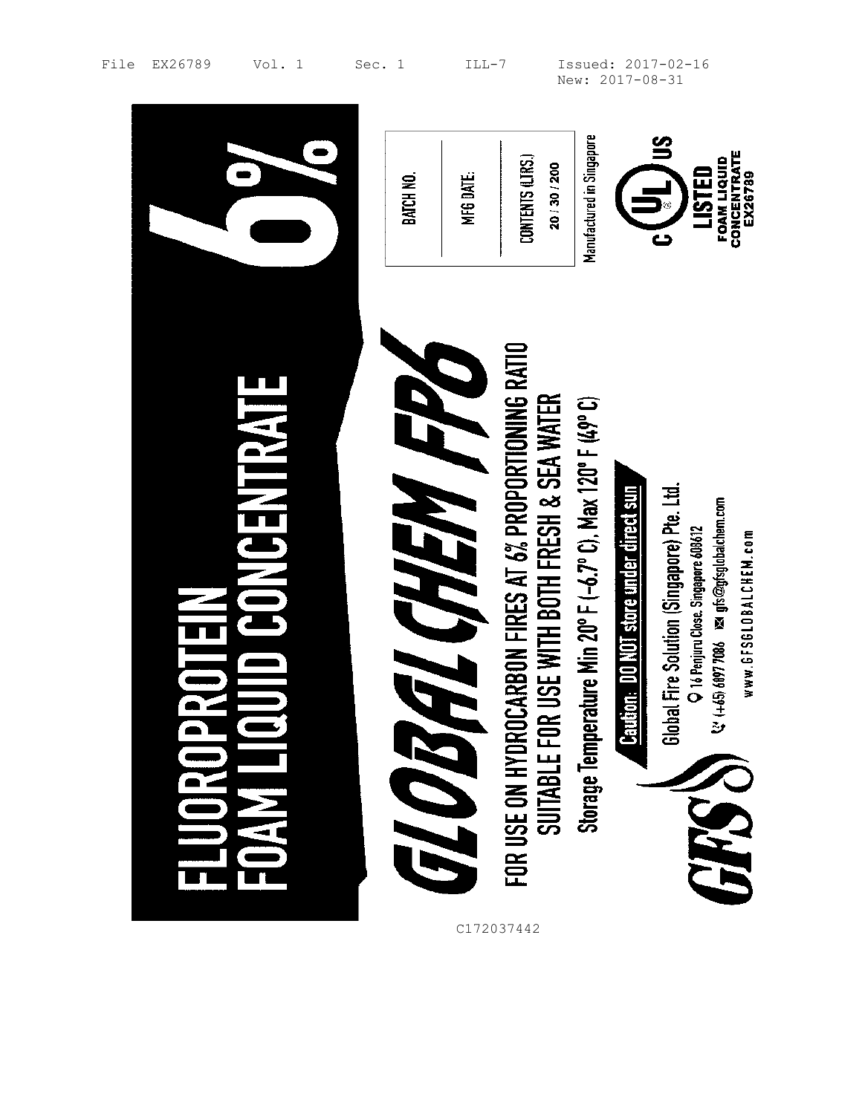|                               | BATCH NO.                   | CONTENTS (LTRS.)<br>MFG DATE.                                        | Manufactured in Singapore<br>20/30/200                                                                      |                                               | CONCENTRATE<br><b>FOAM LIQUID</b><br>LISTED<br>EX26789                                                                                                                                            |
|-------------------------------|-----------------------------|----------------------------------------------------------------------|-------------------------------------------------------------------------------------------------------------|-----------------------------------------------|---------------------------------------------------------------------------------------------------------------------------------------------------------------------------------------------------|
| <b>JNGENTRAIL</b><br>$\equiv$ | <b>EL CHEM FRA</b><br>il Ol | FOR USE ON HYDROCARBON FIRES AT 6% PROPORTIONING RATIO<br>C172037442 | SUITABLE FOR USE WITH BOTH FRESH & SEA WATER<br>Storage Temperature Min 20° F (-6.7° C), Max 120° F (49° C) | <b>Caution: DO NOT store under direct sun</b> | Global Fire Solution (Singapore) Pte. Ltd.<br>$\mathcal{C}$ (+65) 6997 7086 $\,$ ps of $\mathfrak{D}$ system comparements<br>O 16 Penjuru Close. Singapore 608612<br>www.GFSGLOBALCHEM.com<br>JHS |

File EX26789 Vol. 1 Sec. 1 ILL-7 Issued: 2017-02-16 New: 2017-08-31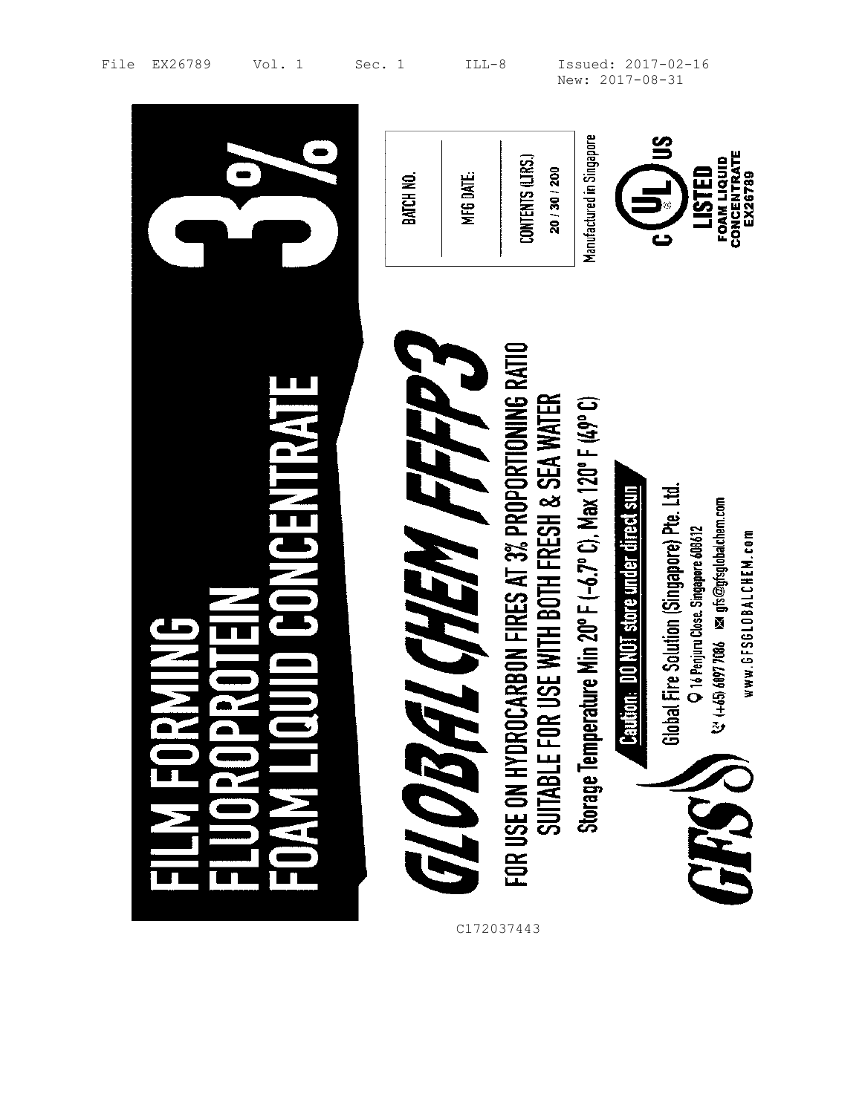|                                | BATCH NO. | MFG DATE.              | CONTENTS (LTRS.)<br>20/30/200                                                                          | Manufactured in Singapore                               |                                               | CONCENTRATE<br><b>FOAM LIQUID</b><br>LISTED<br>EX26789<br>5                                                                                                    |
|--------------------------------|-----------|------------------------|--------------------------------------------------------------------------------------------------------|---------------------------------------------------------|-----------------------------------------------|----------------------------------------------------------------------------------------------------------------------------------------------------------------|
| <b>HYAILBENG</b><br>NNI E<br>N |           | L CHEM FFFP 3<br>GLOBA | FOR USE ON HYDROCARBON FIRES AT 3% PROPORTIONING RATIO<br>Suitable for use with both fresh & sea water | Storage Temperature Min 20°F (-6.7°C), Max 120°F (49°C) | <b>Caution: DO NOT store under direct sun</b> | Global Fire Solution (Singapore) Pte. Ltd.<br>1465) 6097 7086 xx gfs@gfsglobalchem.com<br>O 16 Penjuru Close. Singapore 608612<br>www.6FS6L0BALCHEM.com<br>646 |

 $\blacksquare$ 

File EX26789 Vol. 1 Sec. 1 ILL-8 Issued: 2017-02-16 New: 2017-08-31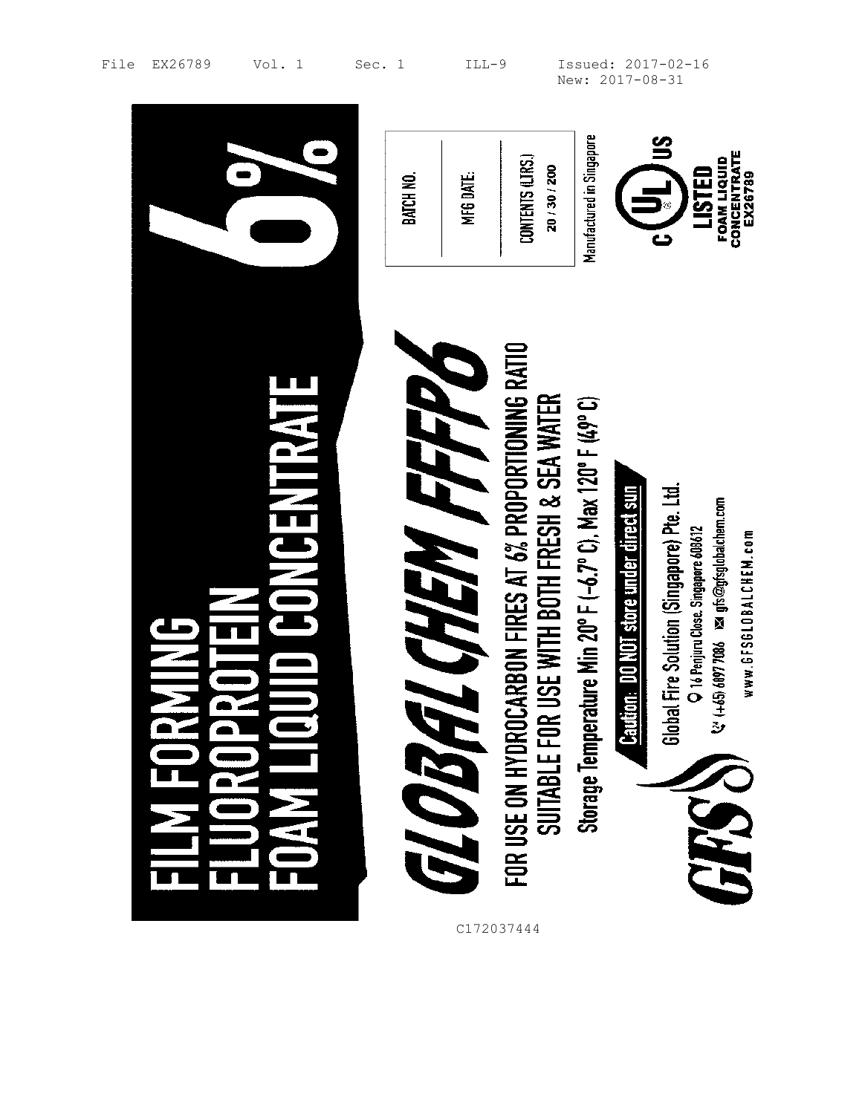|                           | <b>BATCH NO</b> | MFG DATE.    | CONTENTS (LTRS.)<br>20 / 30 / 200                                                                      | Manufactured in Singapore                                   |                                        | <u>က</u><br>CONCENTRATE<br><b>FOAM LIQUID</b><br>LISTED<br>EX26789                                                                                               |
|---------------------------|-----------------|--------------|--------------------------------------------------------------------------------------------------------|-------------------------------------------------------------|----------------------------------------|------------------------------------------------------------------------------------------------------------------------------------------------------------------|
| <b>NATH NEWSTERN</b><br>È | GLOBA           | L CHEM FFFFV | FOR USE ON HYDROCARBON FIRES AT 6% PROPORTIONING RATIO<br>SUITABLE FOR USE WITH BOTH FRESH & SEA WATER | Storage Temperature Min 20° F (-6.7° C), Max 120° F (49° C) | Caution: DO NOT store under direct sun | Global Fire Solution (Singapore) Pte. Ltd.<br>(+65) 6097 7086 ≥sa gfs@gfsglobalchem.com<br>O 16 Penjuru Close. Singapore 608612<br>www.GFSGLOBALCHEM.com<br>GRSS |

File EX26789 Vol. 1 Sec. 1 ILL-9 Issued: 2017-02-16 New: 2017-08-31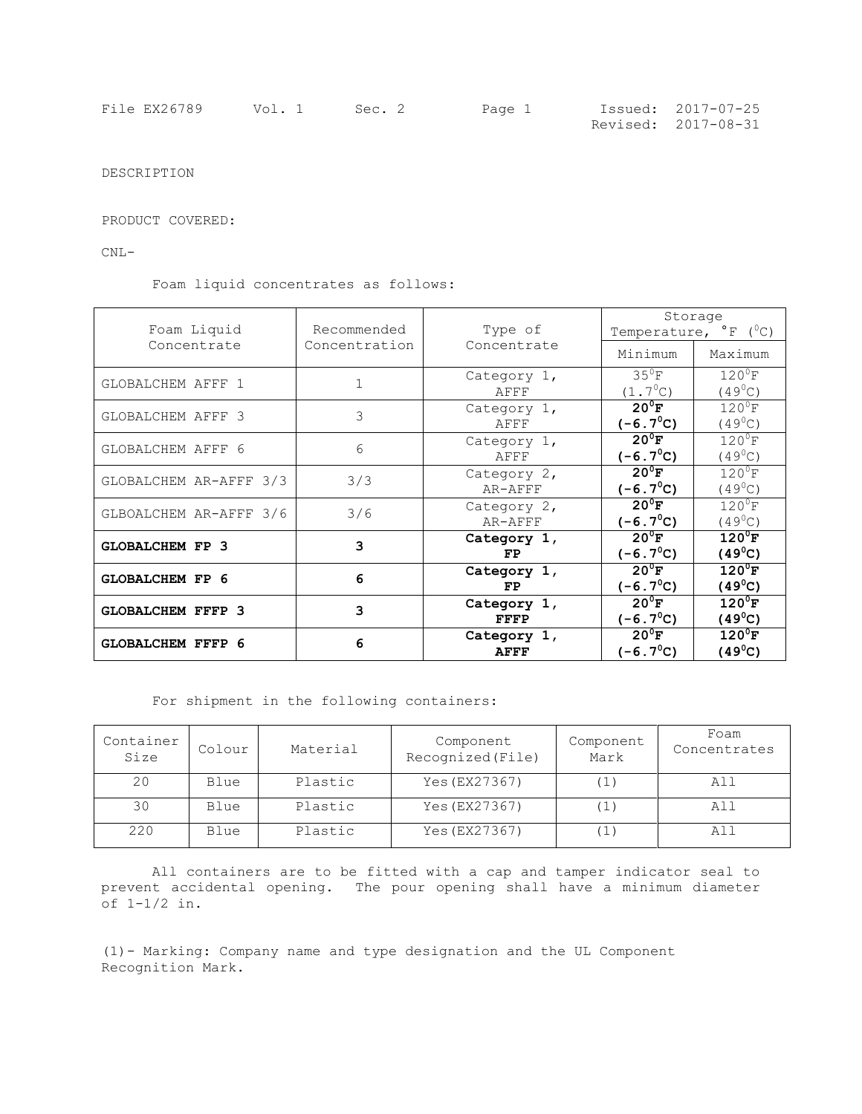| File EX26789 | Vol. 1 | Sec. 2 | Page 1 | Issued: 2017-07-25  |
|--------------|--------|--------|--------|---------------------|
|              |        |        |        | Revised: 2017-08-31 |

DESCRIPTION

PRODUCT COVERED:

CNL-

Foam liquid concentrates as follows:

| Foam Liquid              | Recommended   | Type of                    | Storage<br>Temperature, $^{\circ}$ F ( $^{\circ}$ C) |                                     |  |
|--------------------------|---------------|----------------------------|------------------------------------------------------|-------------------------------------|--|
| Concentrate              | Concentration | Concentrate                | Minimum                                              | Maximum                             |  |
| GLOBALCHEM AFFF 1        | $\mathbf{1}$  | Category 1,<br>AFFF        | $35^0$ F<br>$(1.7^{\circ}C)$                         | $120^0$ F<br>$(49^0C)$              |  |
| GLOBALCHEM AFFF 3        | 3             | Category 1,<br>AFFF        | $20^{\circ}$ F<br>$(-6.7^{\circ}C)$                  | $120^0$ F<br>$(49^{\circ}$ C)       |  |
| GLOBALCHEM AFFF 6        | 6             | Category 1,<br>AFFF        | $20^{\circ}$ F<br>$(-6.7^{\circ}C)$                  | $120^{\circ}$ F<br>$(49^{\circ}$ C) |  |
| GLOBALCHEM AR-AFFF 3/3   | 3/3           | Category 2,<br>AR-AFFF     | $20^0$ F<br>$(-6.7^{\circ}C)$                        | $120^0$ F<br>$(49^{\circ}C)$        |  |
| GLBOALCHEM AR-AFFF 3/6   | 3/6           | Category 2,<br>AR-AFFF     | $20^{\circ}$ F<br>$(-6.7^{\circ}C)$                  | $120^0$ F<br>$(49^0C)$              |  |
| <b>GLOBALCHEM FP 3</b>   | 3             | Category 1,<br>FP          | $20^{\circ}$ F<br>$(-6.7^{\circ}C)$                  | $120^0$ F<br>$(49^{\circ}C)$        |  |
| <b>GLOBALCHEM FP 6</b>   | 6             | Category 1,<br>FP.         | $20^{\circ}$ F<br>$(-6.7^{\circ}C)$                  | $120^0$ F<br>$(49^{\circ}C)$        |  |
| <b>GLOBALCHEM FFFP 3</b> | 3             | Category 1,<br>FFFP        | $20^0$ F<br>$(-6.7^{\circ}C)$                        | $120^0$ F<br>$(49^{\circ}C)$        |  |
| <b>GLOBALCHEM FFFP 6</b> | 6             | Category 1,<br><b>AFFF</b> | $20^{\circ}$ F<br>$(-6.7^{\circ}C)$                  | $120^{\circ}$ F<br>$(49^{\circ}C)$  |  |

For shipment in the following containers:

| Container<br>Size | Colour | Material | Component<br>Recognized (File) | Component<br>Mark | Foam<br>Concentrates |
|-------------------|--------|----------|--------------------------------|-------------------|----------------------|
| 20                | Blue   | Plastic  | Yes (EX27367)                  |                   | All                  |
| 30                | Blue   | Plastic  | Yes (EX27367)                  |                   | All                  |
| 220               | Blue   | Plastic  | Yes (EX27367)                  |                   | All                  |

All containers are to be fitted with a cap and tamper indicator seal to prevent accidental opening. The pour opening shall have a minimum diameter of 1-1/2 in.

(1)- Marking: Company name and type designation and the UL Component Recognition Mark.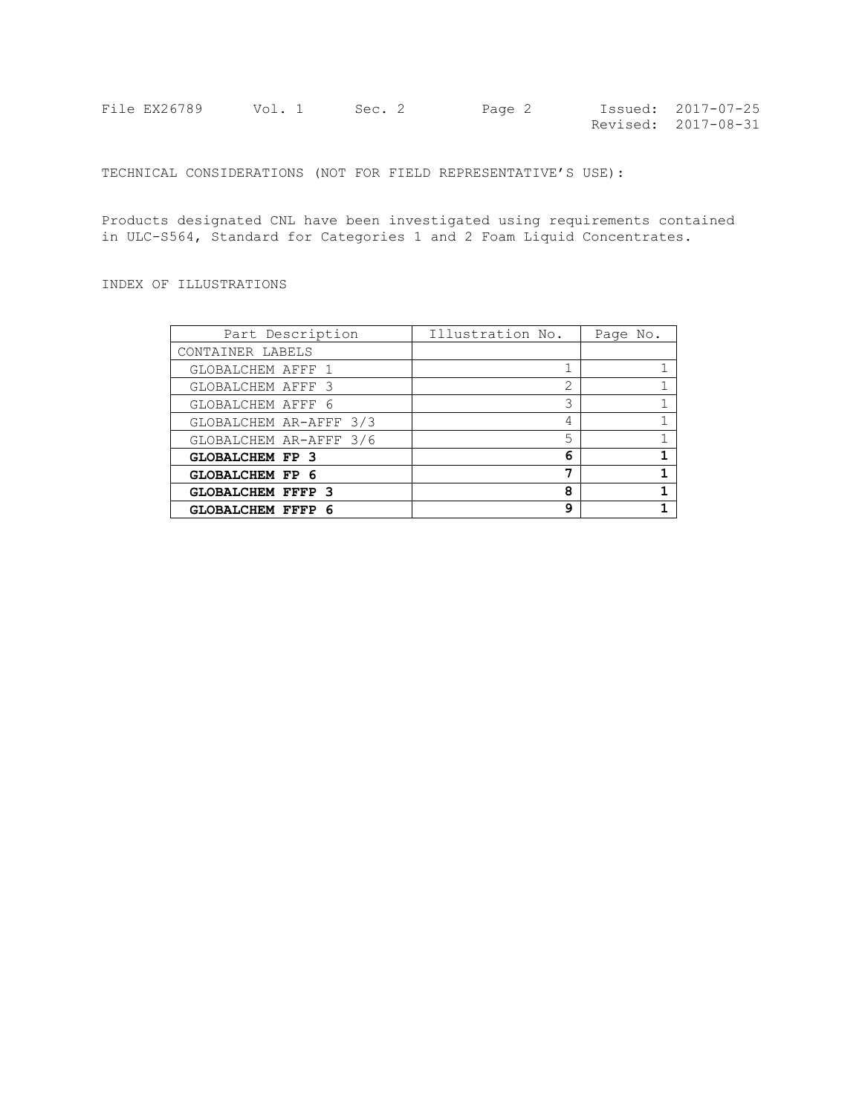| File EX26789 | Vol. 1 Sec. 2 | Page 2 | Issued: 2017-07-25  |
|--------------|---------------|--------|---------------------|
|              |               |        | Revised: 2017-08-31 |

TECHNICAL CONSIDERATIONS (NOT FOR FIELD REPRESENTATIVE'S USE):

Products designated CNL have been investigated using requirements contained in ULC-S564, Standard for Categories 1 and 2 Foam Liquid Concentrates.

INDEX OF ILLUSTRATIONS

| Part Description         | Illustration No. | Page No. |
|--------------------------|------------------|----------|
| CONTAINER LABELS         |                  |          |
| GLOBALCHEM AFFF 1        |                  |          |
| GLOBALCHEM AFFF 3        | 2                |          |
| GLOBALCHEM AFFF 6        | 3                |          |
| GLOBALCHEM AR-AFFF 3/3   | 4                |          |
| GLOBALCHEM AR-AFFF 3/6   | 5                |          |
| <b>GLOBALCHEM FP 3</b>   | 6                |          |
| <b>GLOBALCHEM FP 6</b>   | 7                |          |
| <b>GLOBALCHEM FFFP 3</b> | 8                |          |
| <b>GLOBALCHEM FFFP 6</b> | q                |          |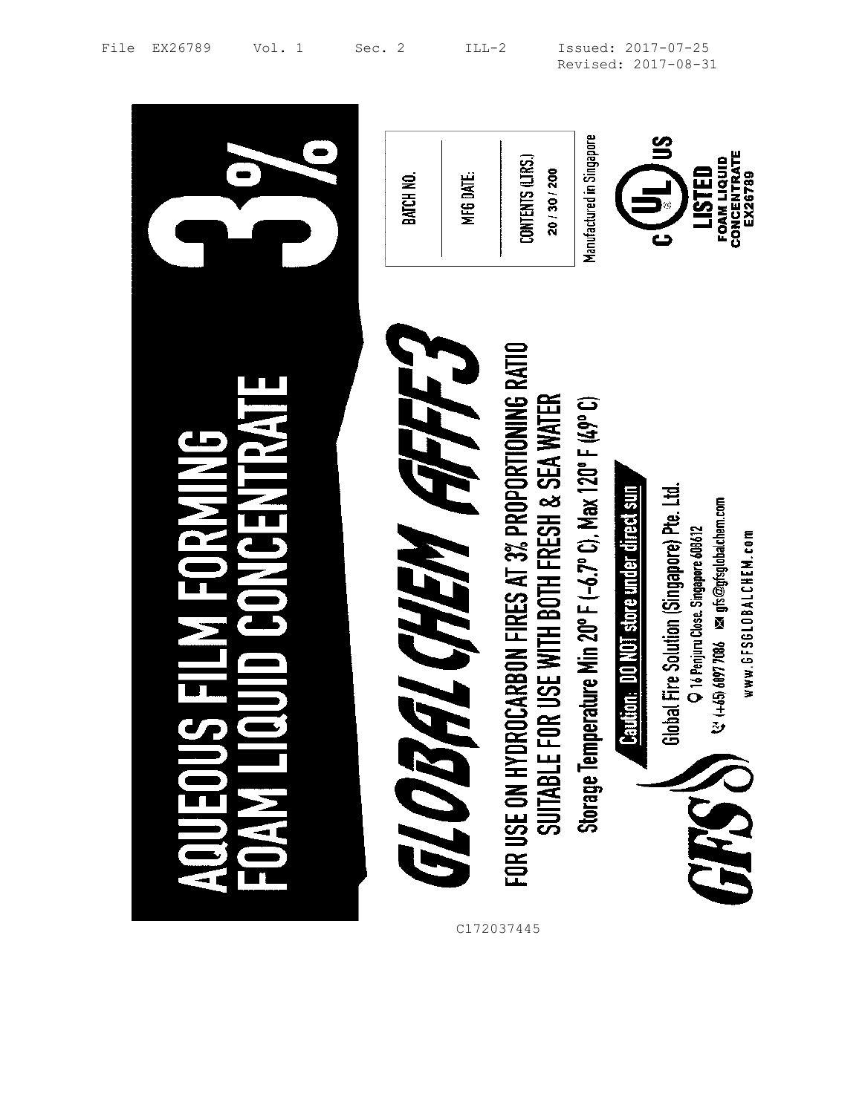|                                | MFG DATE.<br>BATCH NO.           | Manufactured in Singapore<br>CONTENTS (LTRS.)<br>20 / 30 / 200                                                                                                                                                              | CONCENTRATE<br>FOAM LIQUID<br><b>USTED</b><br>EX26789                                                                                                                                                                                                                                    |
|--------------------------------|----------------------------------|-----------------------------------------------------------------------------------------------------------------------------------------------------------------------------------------------------------------------------|------------------------------------------------------------------------------------------------------------------------------------------------------------------------------------------------------------------------------------------------------------------------------------------|
| $\frac{1}{2}$<br>$\frac{1}{2}$ | FFF.<br><b>FL CHEM R</b><br>GLOB | <b>OCARBON FIRES AT 3% PROPORTIONING RATIO</b><br>FOR USE ON HYDROCARBON FIRES AT 3% PROPORTIONING<br>SUITABLE FOR USE WITH BOTH FRESH & SEA WATER<br>Storage Temperature Min 20°F (-6.7°C), Max 120°F (49°C)<br>C172037445 | <b>Caution: DO NOT store under direct sun</b><br>bal Fire Solution (Singapore) Pte. Ltd.<br>$\frac{2}{3}$ (+45) 6897 7086 $\frac{1}{2}$ of $\frac{1}{2}$ of $\frac{1}{2}$ of $\frac{1}{2}$ of $\frac{1}{2}$<br>O 16 Penjuru Close. Singapore 608612<br>www.6FS6L0BALCHEM.com<br>욶<br>EH. |

File EX26789 Vol. 1 Sec. 2 ILL-2 Issued: 2017-07-25 Revised: 2017-08-31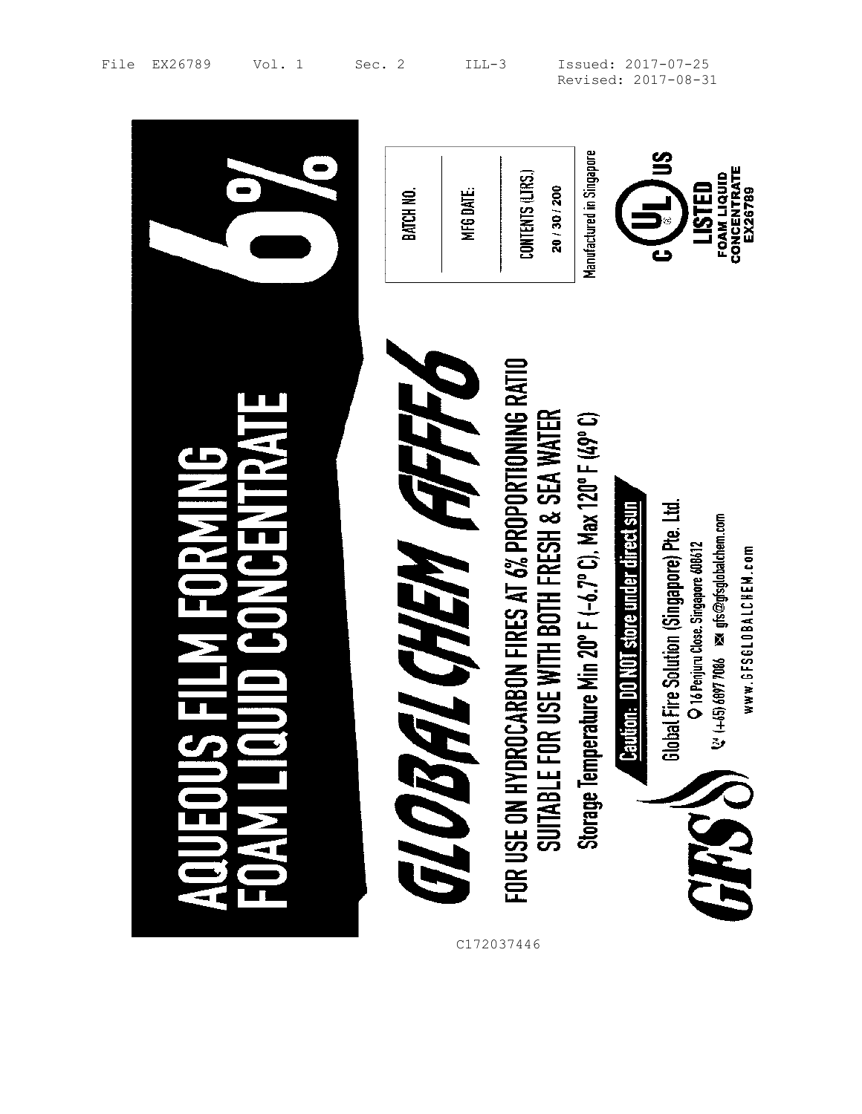|           | BATCH NO.                        | MFG DATE. | CONTENTS (LTRS.)<br>20 / 30 / 200                                                                                                                         | Manufactured in Singapore                               | CONCENTRATE<br><b>FOAM LIQUID</b><br>LISTED<br>EX26789                                                                                                                                                                           |
|-----------|----------------------------------|-----------|-----------------------------------------------------------------------------------------------------------------------------------------------------------|---------------------------------------------------------|----------------------------------------------------------------------------------------------------------------------------------------------------------------------------------------------------------------------------------|
| ---<br>-- | 1770<br><b>EL CHEM A</b><br>GLOB |           | OCARBON FIRES AT 6% PROPORTIONING RATIO<br>FOR USE ON HYDROCARBON FIRES AT 6% PROPORTIONING<br>SUITABLE FOR USE WITH BOTH FRESH & SEA WATER<br>C172037446 | Storage Temperature Min 20°F (-6.7°C), Max 120°F (49°C) | bal Fire Solution (Singapore) Pte. Ltd.<br>Caution: DO NOT store under direct sun<br>$\frac{2}{5}$ (+65) 6897 7086 $\approx$ gfs@gfsglobalchem.com<br>O 16 Penjuru Close. Singapore 608612<br>www.6FS6L0BALCHEM.com<br>ਛੋ<br>648 |

File EX26789 Vol. 1 Sec. 2 ILL-3 Issued: 2017-07-25 Revised: 2017-08-31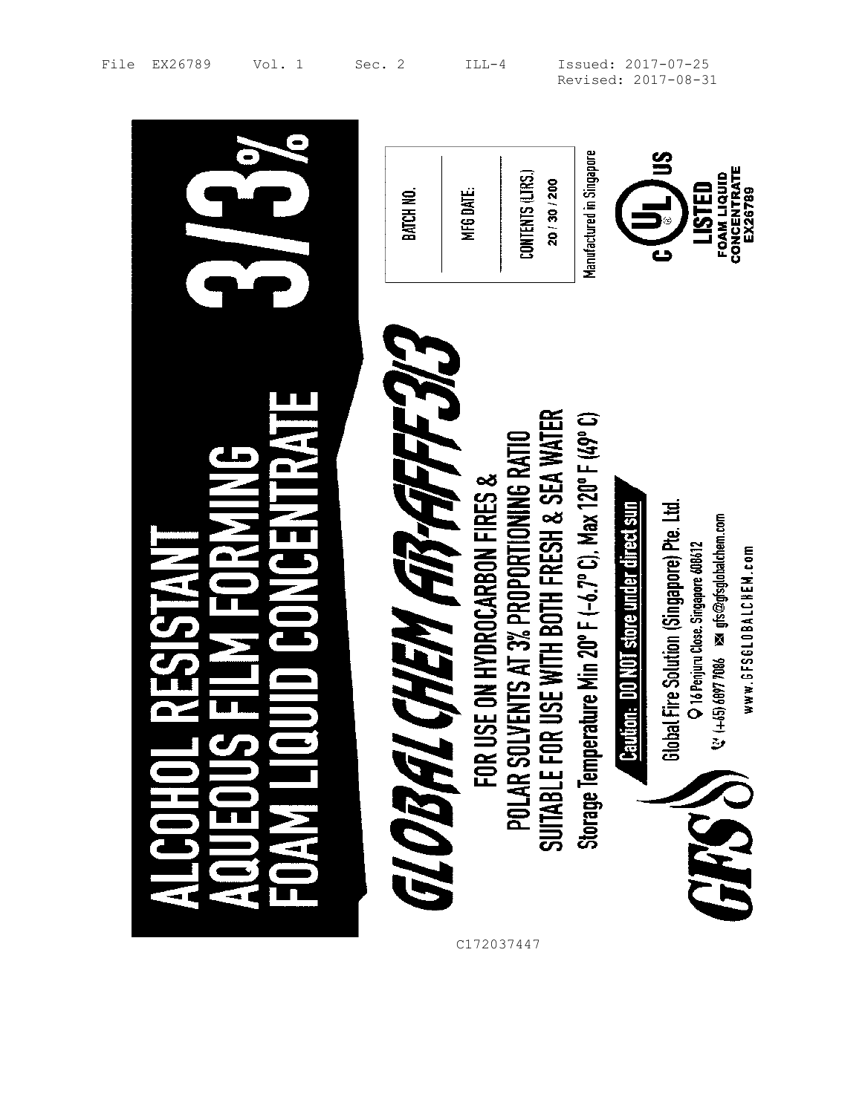|                    | BATCH NO.               | CONTENTS (LTRS.)<br>20/30/200<br>MFG DATE.                                                                                                                                      | Manufactured in Singapore                               | CONCENTRATE<br>FOAM LIQUID<br>LISTED<br>EX26789                                                                                                                                                                  |
|--------------------|-------------------------|---------------------------------------------------------------------------------------------------------------------------------------------------------------------------------|---------------------------------------------------------|------------------------------------------------------------------------------------------------------------------------------------------------------------------------------------------------------------------|
| $\frac{1}{2}$<br>Ë | CHEM AB-AFFEJ<br>GLOBAL | R USE WITH BOTH FRESH & SEA WATER<br>POLAR SOLVENTS AT 3% PROPORTIONING RATIO<br>SUITABLE FOR USE WITH BOTH FRESH & SEA WAT<br>SE ON HYDROCARBON FIRES &<br>FOR U<br>C172037447 | Storage Temperature Min 20°F (-6.7°C), Max 120°F (49°C) | Global Fire Solution (Singapore) Pte. Ltd.<br>tion: DO NOT store under direct sun<br>(+65) 6097 7086 ≥st gfs@gfsglobalchem.com<br>O 16 Penjuru Close. Singapore 608612<br>www.6FS6L0BALCHEM.com<br>Э<br>园<br>548 |

File EX26789 Vol. 1 Sec. 2 ILL-4 Issued: 2017-07-25 Revised: 2017-08-31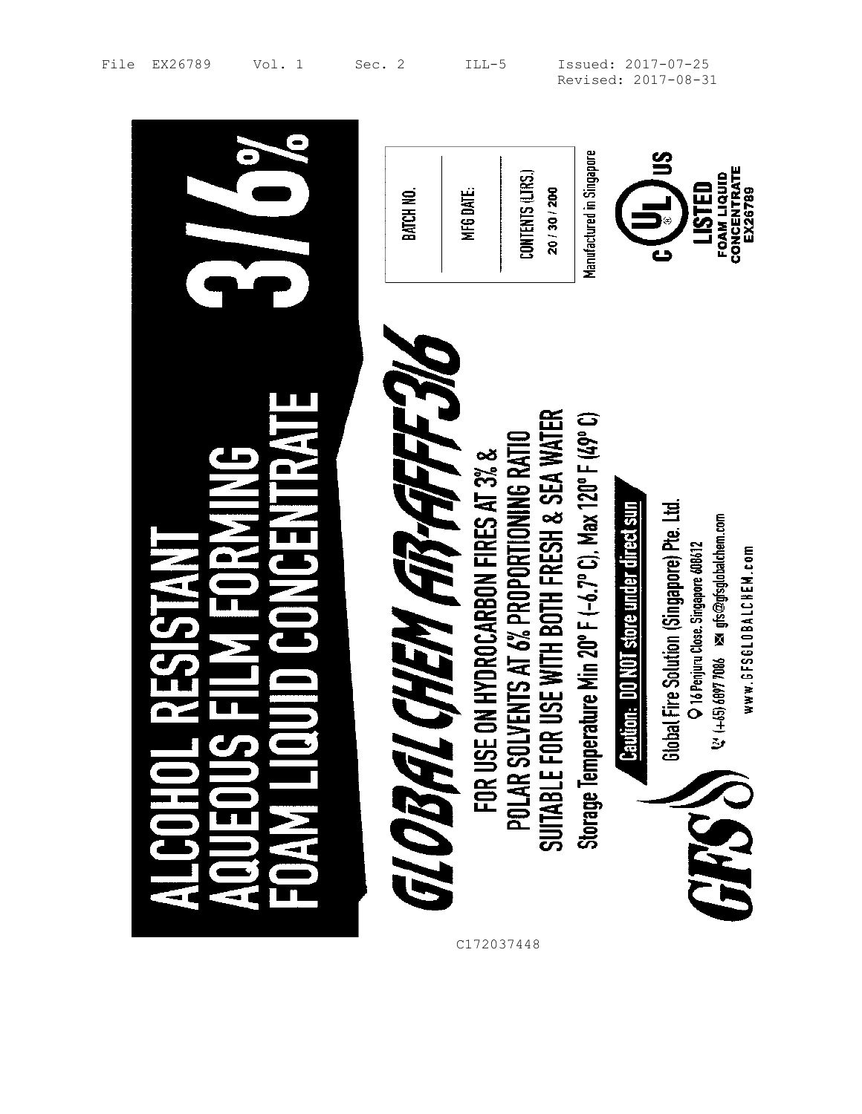|   | BATCH NO.                       | MFG DATE.                            | CONTENTS (LTRS.)<br>20 / 30 / 200                                                        | Manufactured in Singapore                                   | CONCENTRATE<br>FOAM LIQUID<br>LISTED<br>EX26789                                                                                                                                                                              |
|---|---------------------------------|--------------------------------------|------------------------------------------------------------------------------------------|-------------------------------------------------------------|------------------------------------------------------------------------------------------------------------------------------------------------------------------------------------------------------------------------------|
| 궄 | <b>CONEM ATTAFFET</b><br>GLOBAL | FOR USE ON HYDROCARBON FIRES AT 3% & | POLAR SOLVENTS AT 6% PROPORTIONING RATIO<br>SUITABLE FOR USE WITH BOTH FRESH & SEA WATER | Storage Temperature Min 20° F (-6.7° C), Max 120° F (49° C) | <b>Caution: DO NOT store under direct sun</b><br>Global Fire Solution (Singapore) Pre. Ltd.<br>$Q'$ (+65) 6097 7086 $\approx$ gfs@gfsglobalchem.com<br>O 16 Penjuru Close. Singapore 608612<br>www.GFSGLOBALCHEM.com<br>GRSS |

 $\overline{a}$ 

File EX26789 Vol. 1 Sec. 2 ILL-5 Issued: 2017-07-25 Revised: 2017-08-31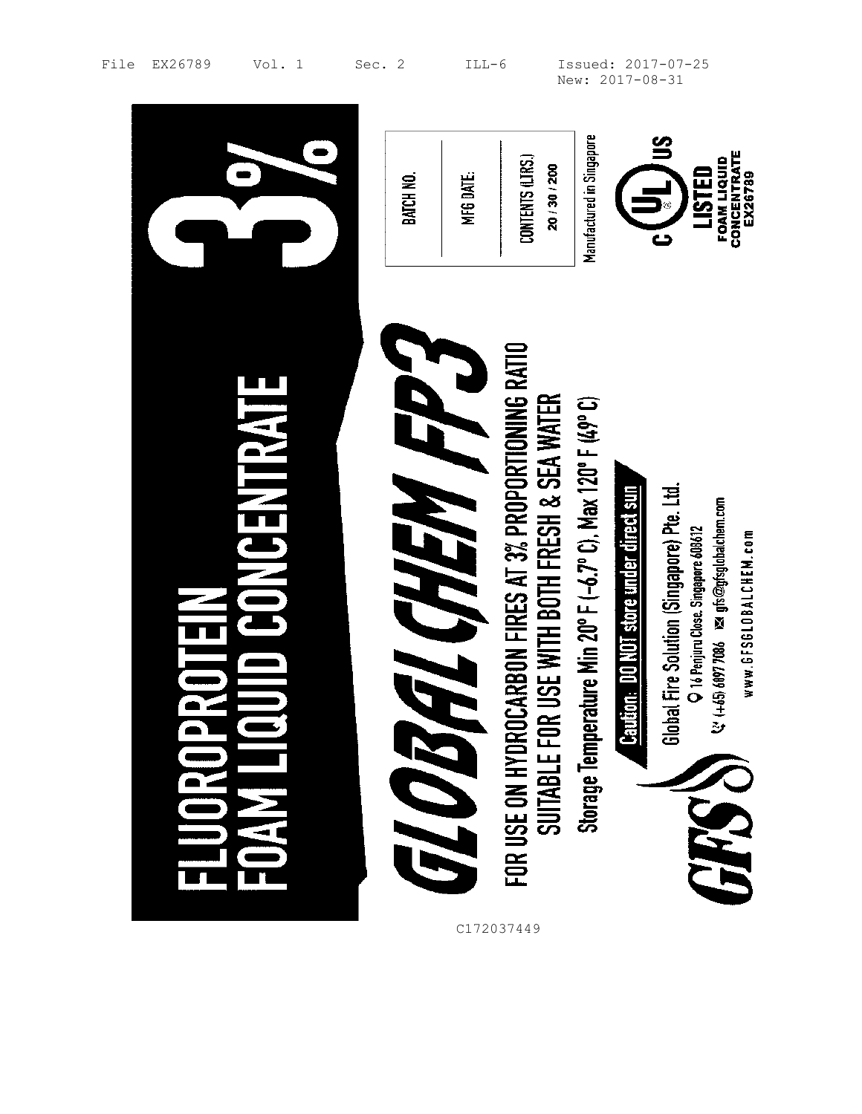|                   | BATCH NO.                   | MFG DATE.  | CONTENTS (LTRS.)<br>20 / 30 / 200                                                                      | Manufactured in Singapore                                       |                                        | CONCENTRATE<br><b>FOAM LIQUID</b><br>LISTED<br>EX26789                                                                                                                    |
|-------------------|-----------------------------|------------|--------------------------------------------------------------------------------------------------------|-----------------------------------------------------------------|----------------------------------------|---------------------------------------------------------------------------------------------------------------------------------------------------------------------------|
| <b>JNCENTRATE</b> | FL CHEM FP 3<br><b>ENGE</b> | C172037449 | FOR USE ON HYDROCARBON FIRES AT 3% PROPORTIONING RATIO<br>SUITABLE FOR USE WITH BOTH FRESH & SEA WATER | erature Min 20° F (-6.7° C), Max 120° F (49° C)<br>Storage Temp | Caution: DO NOT store under direct sun | lobal Fire Solution (Singapore) Pte. Ltd.<br>V: (+45) 6897 7086 May gfs@gfsglobalchem.com<br>O 16 Penjuru Close. Singapore 608612<br>www.6FS6L0BALCHEM.com<br>ෂි<br>PRATI |

File EX26789 Vol. 1 Sec. 2 ILL-6 Issued: 2017-07-25 New: 2017-08-31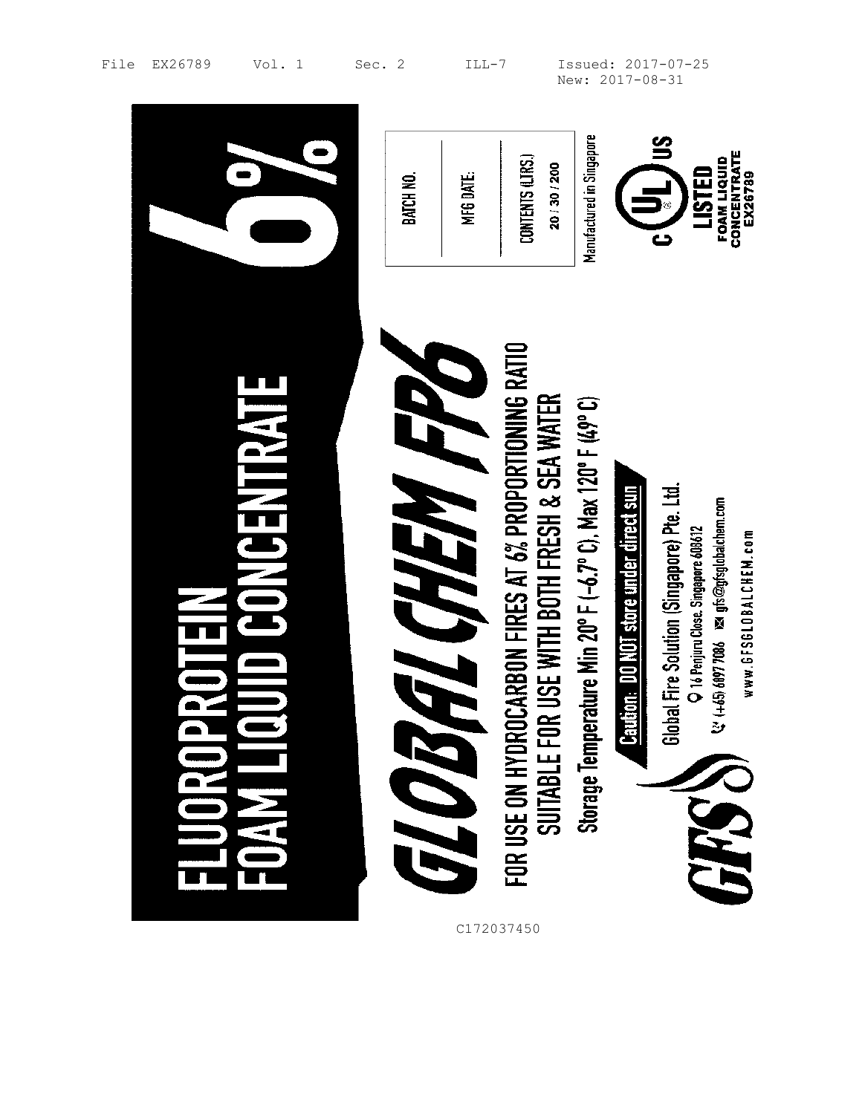|                                              | MFG DATE.<br>BATCH NO.                    | Manufactured in Singapore<br>CONTENTS (LTRS.)<br>20/30/200                                                                                                            | CONCENTRATE<br>FOAM LIQUID<br>LISTED<br>EX26789                                                                                                                                                                                                 |
|----------------------------------------------|-------------------------------------------|-----------------------------------------------------------------------------------------------------------------------------------------------------------------------|-------------------------------------------------------------------------------------------------------------------------------------------------------------------------------------------------------------------------------------------------|
| <b>JNCENTRATE</b><br>$\overline{\mathbf{r}}$ | <b>EL CHEM FRO</b><br>FLOT.<br>C172037450 | FOR USE ON HYDROCARBON FIRES AT 6% PROPORTIONING RATIO<br>SUITABLE FOR USE WITH BOTH FRESH & SEA WATER<br>Storage Temperature Min 20° F (-6.7° C), Max 120° F (49° C) | <b>Caution: DO NOT store under direct sun</b><br>Global Fire Solution (Singapore) Pte. Ltd.<br>$\mathcal{C}$ (+65) 6897 7086 $\,$ ps of $\mathcal{O}$ gfsglobalchem.com<br>O 16 Penjuru Close. Singapore 608612<br>www.GFSGLOBALCHEM.com<br>148 |

File EX26789 Vol. 1 Sec. 2 ILL-7 Issued: 2017-07-25 New: 2017-08-31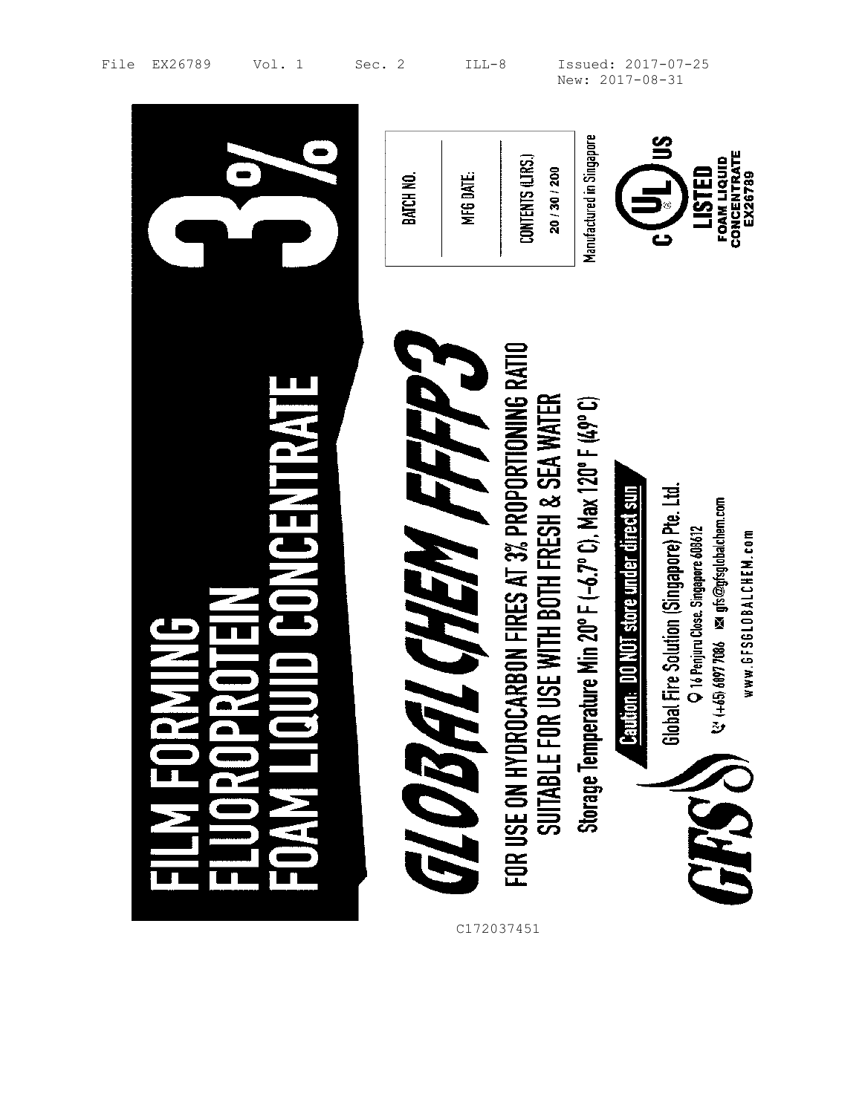|                   | BATCH NO. | MFG DATE.              | CONTENTS (LTRS.)<br>20/30/200                                                                          | Manufactured in Singapore                                   |                                        | CONCENTRATE<br>Ex26789<br>FOAM LIQUID<br>LISTED<br>5                                                                                                                     |
|-------------------|-----------|------------------------|--------------------------------------------------------------------------------------------------------|-------------------------------------------------------------|----------------------------------------|--------------------------------------------------------------------------------------------------------------------------------------------------------------------------|
| <b>HYSHNEMICA</b> |           | E CHEM FFFP 3<br>GLOBI | FOR USE ON HYDROCARBON FIRES AT 3% PROPORTIONING RATIO<br>SUITABLE FOR USE WITH BOTH FRESH & SEA WATER | Storage Temperature Min 20° F (-6.7° C), Max 120° F (49° C) | Caution: DO NOT store under direct sun | Global Fire Solution (Singapore) Pte. Ltd.<br>↓↓ (+45) 6097 7086     ⊠   gfs@gfsglobalchem.com<br>O 16 Penjuru Close. Singapore 608612<br>www.6FS6L0BALCHEM.com<br>GARSS |

 $\blacksquare$ 

and the control of the control of the control of the control of the control of the control of the control of the

File EX26789 Vol. 1 Sec. 2 ILL-8 Issued: 2017-07-25 New: 2017-08-31